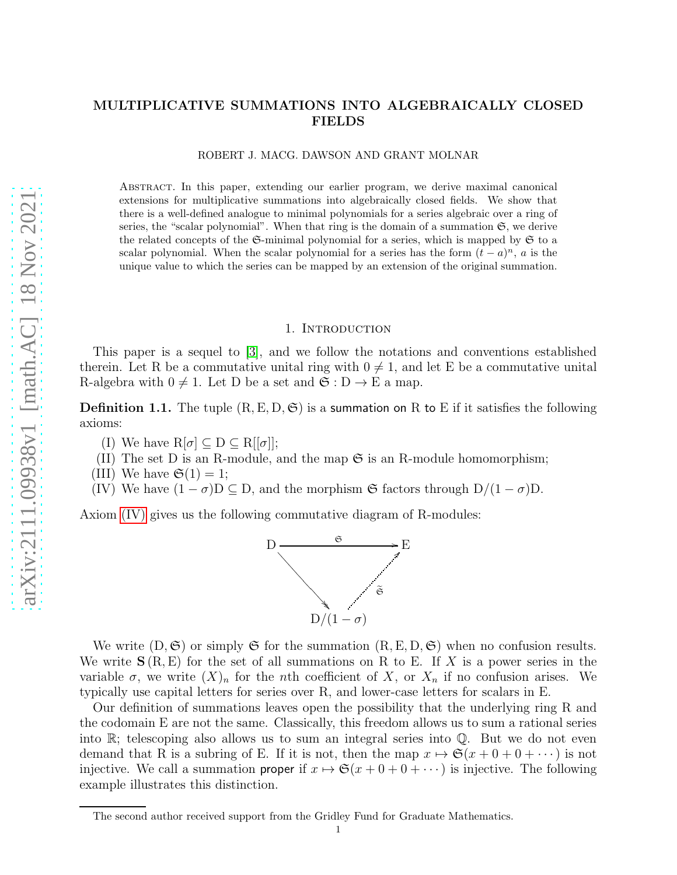# MULTIPLICATIVE SUMMATIONS INTO ALGEBRAICALLY CLOSED FIELDS

ROBERT J. MACG. DAWSON AND GRANT MOLNAR

Abstract. In this paper, extending our earlier program, we derive maximal canonical extensions for multiplicative summations into algebraically closed fields. We show that there is a well-defined analogue to minimal polynomials for a series algebraic over a ring of series, the "scalar polynomial". When that ring is the domain of a summation  $\mathfrak{S}$ , we derive the related concepts of the  $\mathfrak{S}\text{-minimal polynomial}$  for a series, which is mapped by  $\mathfrak{S}$  to a scalar polynomial. When the scalar polynomial for a series has the form  $(t - a)^n$ , a is the unique value to which the series can be mapped by an extension of the original summation.

### 1. INTRODUCTION

<span id="page-0-3"></span>This paper is a sequel to [\[3\]](#page-17-0), and we follow the notations and conventions established therein. Let R be a commutative unital ring with  $0 \neq 1$ , and let E be a commutative unital R-algebra with  $0 \neq 1$ . Let D be a set and  $\mathfrak{S} : D \to E$  a map.

<span id="page-0-1"></span>**Definition 1.1.** The tuple  $(R, E, D, \mathfrak{S})$  is a summation on R to E if it satisfies the following axioms:

- <span id="page-0-4"></span>(I) We have  $R[\sigma] \subseteq D \subseteq R[[\sigma]]$ ;
- <span id="page-0-2"></span>(II) The set D is an R-module, and the map  $\mathfrak S$  is an R-module homomorphism;
- <span id="page-0-0"></span>(III) We have  $\mathfrak{S}(1) = 1$ ;
- (IV) We have  $(1 \sigma)D \subseteq D$ , and the morphism G factors through  $D/(1 \sigma)D$ .

Axiom [\(IV\)](#page-0-0) gives us the following commutative diagram of R-modules:



We write  $(D, \mathfrak{S})$  or simply  $\mathfrak{S}$  for the summation  $(R, E, D, \mathfrak{S})$  when no confusion results. We write  $\mathbf{S}(R, E)$  for the set of all summations on R to E. If X is a power series in the variable  $\sigma$ , we write  $(X)_n$  for the *n*th coefficient of X, or  $X_n$  if no confusion arises. We typically use capital letters for series over R, and lower-case letters for scalars in E.

Our definition of summations leaves open the possibility that the underlying ring R and the codomain E are not the same. Classically, this freedom allows us to sum a rational series into R; telescoping also allows us to sum an integral series into Q. But we do not even demand that R is a subring of E. If it is not, then the map  $x \mapsto \mathfrak{S}(x + 0 + 0 + \cdots)$  is not injective. We call a summation proper if  $x \mapsto \mathfrak{S}(x + 0 + 0 + \cdots)$  is injective. The following example illustrates this distinction.

The second author received support from the Gridley Fund for Graduate Mathematics.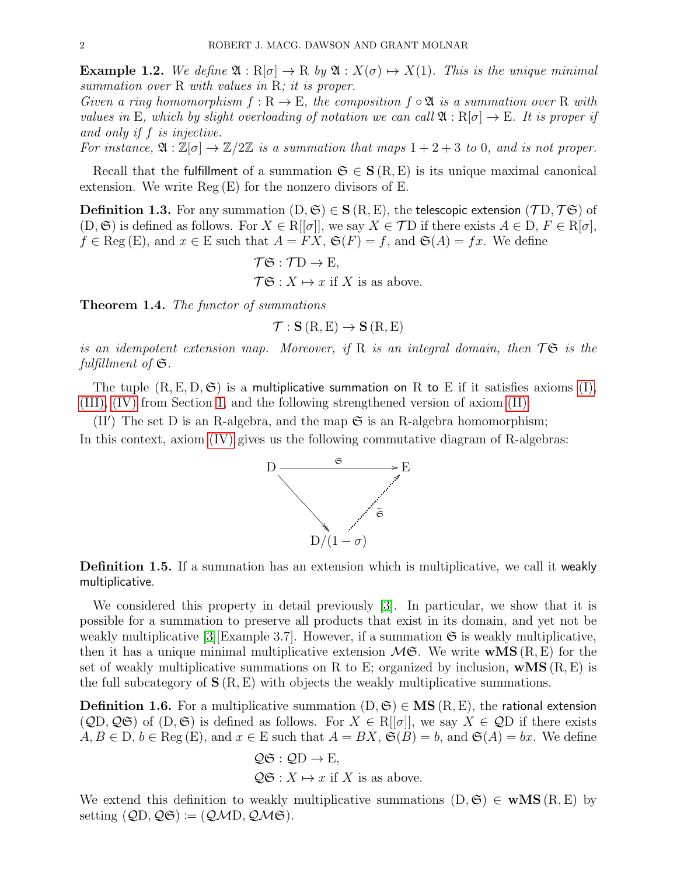**Example 1.2.** We define  $\mathfrak{A}: \mathbb{R}[\sigma] \to \mathbb{R}$  by  $\mathfrak{A}: X(\sigma) \mapsto X(1)$ . This is the unique minimal summation over R with values in R; it is proper.

Given a ring homomorphism  $f : R \to E$ , the composition  $f \circ \mathfrak{A}$  is a summation over R with values in E, which by slight overloading of notation we can call  $\mathfrak{A} : \mathbb{R}[\sigma] \to \mathbb{R}$ . It is proper if and only if f is injective.

For instance,  $\mathfrak{A} : \mathbb{Z}[\sigma] \to \mathbb{Z}/2\mathbb{Z}$  is a summation that maps  $1 + 2 + 3$  to 0, and is not proper.

Recall that the fulfillment of a summation  $\mathfrak{S} \in \mathbf{S}(\mathbb{R}, \mathbb{E})$  is its unique maximal canonical extension. We write Reg (E) for the nonzero divisors of E.

**Definition 1.3.** For any summation  $(D, \mathfrak{S}) \in \mathbf{S}$  (R, E), the telescopic extension (TD,  $\mathcal{T} \mathfrak{S}$ ) of  $(D, \mathfrak{S})$  is defined as follows. For  $X \in R[[\sigma]]$ , we say  $X \in \mathcal{T}D$  if there exists  $A \in D$ ,  $F \in R[\sigma]$ ,  $f \in \text{Reg}(\mathcal{E})$ , and  $x \in \mathcal{E}$  such that  $A = FX$ ,  $\mathfrak{S}(F) = f$ , and  $\mathfrak{S}(A) = fx$ . We define

> $\mathcal{T} \mathfrak{S} : \mathcal{T} \mathbb{D} \to \mathbb{E}.$  $\mathcal{T} \mathfrak{S} : X \mapsto x$  if X is as above.

<span id="page-1-0"></span>Theorem 1.4. The functor of summations

$$
\mathcal{T}: \mathbf{S}(R, E) \to \mathbf{S}(R, E)
$$

is an idempotent extension map. Moreover, if R is an integral domain, then  $\mathcal{T} \mathfrak{S}$  is the fulfillment of  $\mathfrak{S}.$ 

The tuple  $(R, E, D, \mathfrak{S})$  is a multiplicative summation on R to E if it satisfies axioms [\(I\),](#page-0-1) [\(III\),](#page-0-2) [\(IV\)](#page-0-0) from Section [1,](#page-0-3) and the following strengthened version of axiom [\(II\):](#page-0-4)

(II') The set D is an R-algebra, and the map  $\mathfrak S$  is an R-algebra homomorphism;

In this context, axiom [\(IV\)](#page-0-0) gives us the following commutative diagram of R-algebras:



Definition 1.5. If a summation has an extension which is multiplicative, we call it weakly multiplicative.

We considered this property in detail previously [\[3\]](#page-17-0). In particular, we show that it is possible for a summation to preserve all products that exist in its domain, and yet not be weakly multiplicative [\[3\]](#page-17-0)[Example 3.7]. However, if a summation  $\mathfrak{S}$  is weakly multiplicative, then it has a unique minimal multiplicative extension  $\mathcal{M}\mathfrak{S}$ . We write **wMS** (R, E) for the set of weakly multiplicative summations on R to E; organized by inclusion,  $\bf{wMS}$  (R, E) is the full subcategory of  $\mathbf{S}(\mathbf{R}, \mathbf{E})$  with objects the weakly multiplicative summations.

**Definition 1.6.** For a multiplicative summation  $(D, \mathfrak{S}) \in MS(R, E)$ , the rational extension  $(QD, QS)$  of  $(D, S)$  is defined as follows. For  $X \in R[[\sigma]]$ , we say  $X \in QD$  if there exists  $A, B \in D, b \in \text{Reg}(E)$ , and  $x \in E$  such that  $A = BX$ ,  $\mathfrak{S}(B) = b$ , and  $\mathfrak{S}(A) = bx$ . We define

$$
Q\mathfrak{S}: QD \to E,
$$
  

$$
Q\mathfrak{S}: X \mapsto x \text{ if } X \text{ is as above.}
$$

We extend this definition to weakly multiplicative summations  $(D, \mathfrak{S}) \in \mathbf{wMS}(R, E)$  by setting  $(QD, Q\mathfrak{S}) \coloneqq (QMD, QM\mathfrak{S}).$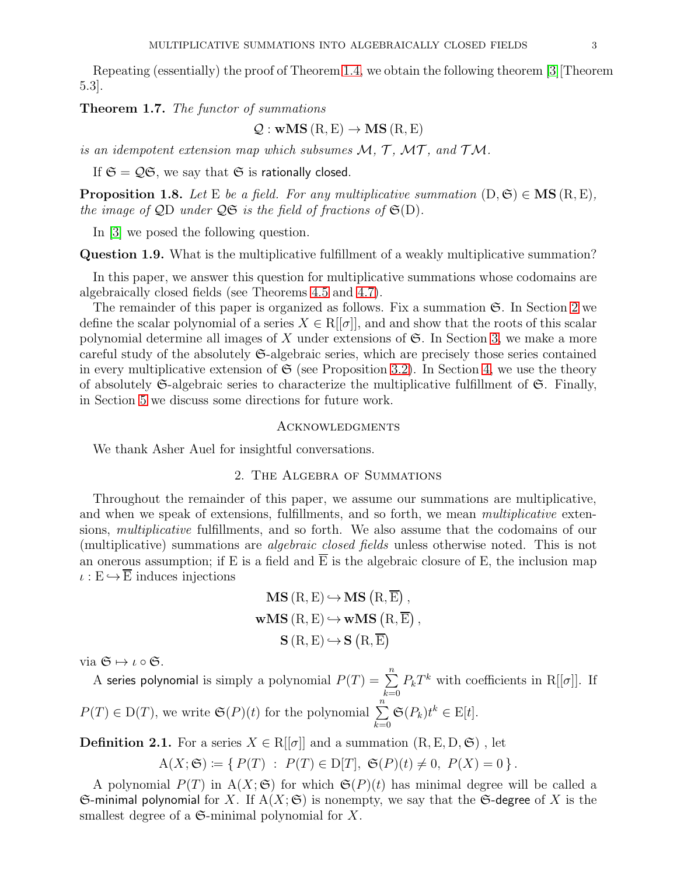Repeating (essentially) the proof of Theorem [1.4,](#page-1-0) we obtain the following theorem [\[3\]](#page-17-0)[Theorem 5.3].

<span id="page-2-1"></span>Theorem 1.7. The functor of summations

 $\mathcal{Q}:$  wMS  $(R, E) \rightarrow MS (R, E)$ 

is an idempotent extension map which subsumes  $M, \mathcal{T}, \mathcal{MT},$  and  $\mathcal{TM}$ .

If  $\mathfrak{S} = \mathcal{Q} \mathfrak{S}$ , we say that  $\mathfrak{S}$  is rationally closed.

<span id="page-2-2"></span>**Proposition 1.8.** Let E be a field. For any multiplicative summation  $(D, \mathfrak{S}) \in MS(R, E)$ , the image of QD under  $\mathcal{Q}S$  is the field of fractions of  $\mathfrak{S}(D)$ .

In [\[3\]](#page-17-0) we posed the following question.

Question 1.9. What is the multiplicative fulfillment of a weakly multiplicative summation?

In this paper, we answer this question for multiplicative summations whose codomains are algebraically closed fields (see Theorems [4.5](#page-15-0) and [4.7\)](#page-16-0).

The remainder of this paper is organized as follows. Fix a summation S. In Section [2](#page-2-0) we define the scalar polynomial of a series  $X \in R[[\sigma]]$ , and and show that the roots of this scalar polynomial determine all images of  $X$  under extensions of  $\mathfrak{S}$ . In Section [3,](#page-9-0) we make a more careful study of the absolutely S-algebraic series, which are precisely those series contained in every multiplicative extension of  $\mathfrak S$  (see Proposition [3.2\)](#page-10-0). In Section [4,](#page-14-0) we use the theory of absolutely  $\mathfrak{S}\text{-algebraic series}$  to characterize the multiplicative fulfillment of  $\mathfrak{S}\text{-}$  Finally, in Section [5](#page-17-1) we discuss some directions for future work.

### **ACKNOWLEDGMENTS**

<span id="page-2-0"></span>We thank Asher Auel for insightful conversations.

# 2. The Algebra of Summations

Throughout the remainder of this paper, we assume our summations are multiplicative, and when we speak of extensions, fulfillments, and so forth, we mean *multiplicative* extensions, multiplicative fulfillments, and so forth. We also assume that the codomains of our (multiplicative) summations are algebraic closed fields unless otherwise noted. This is not an onerous assumption; if E is a field and  $\overline{E}$  is the algebraic closure of E, the inclusion map  $\iota : E \hookrightarrow \overline{E}$  induces injections

$$
\mathbf{MS}(R, E) \hookrightarrow \mathbf{MS}(R, \overline{E}),
$$
  

$$
\mathbf{wMS}(R, E) \hookrightarrow \mathbf{wMS}(R, \overline{E}),
$$
  

$$
\mathbf{S}(R, E) \hookrightarrow \mathbf{S}(R, \overline{E})
$$

via  $\mathfrak{S} \mapsto \iota \circ \mathfrak{S}$ .

A series polynomial is simply a polynomial  $P(T) = \sum_{n=1}^{\infty}$  $_{k=0}$  $P_kT^k$  with coefficients in R[[ $\sigma$ ]]. If  $P(T) \in D(T)$ , we write  $\mathfrak{S}(P)(t)$  for the polynomial  $\sum_{k=0}^{n}$  $\mathfrak{S}(P_k)t^k \in \mathrm{E}[t].$ 

**Definition 2.1.** For a series  $X \in R[[\sigma]]$  and a summation  $(R, E, D, \mathfrak{S})$ , let

 $A(X; \mathfrak{S}) \coloneqq \{ P(T) : P(T) \in D[T], \mathfrak{S}(P)(t) \neq 0, P(X) = 0 \}.$ 

A polynomial  $P(T)$  in  $A(X;\mathfrak{S})$  for which  $\mathfrak{S}(P)(t)$  has minimal degree will be called a  $\mathfrak{S}\text{-minimal polynomial for }X$ . If  $A(X;\mathfrak{S})$  is nonempty, we say that the  $\mathfrak{S}\text{-degree of }X$  is the smallest degree of a  $\mathfrak{S}\text{-minimal polynomial}$  for X.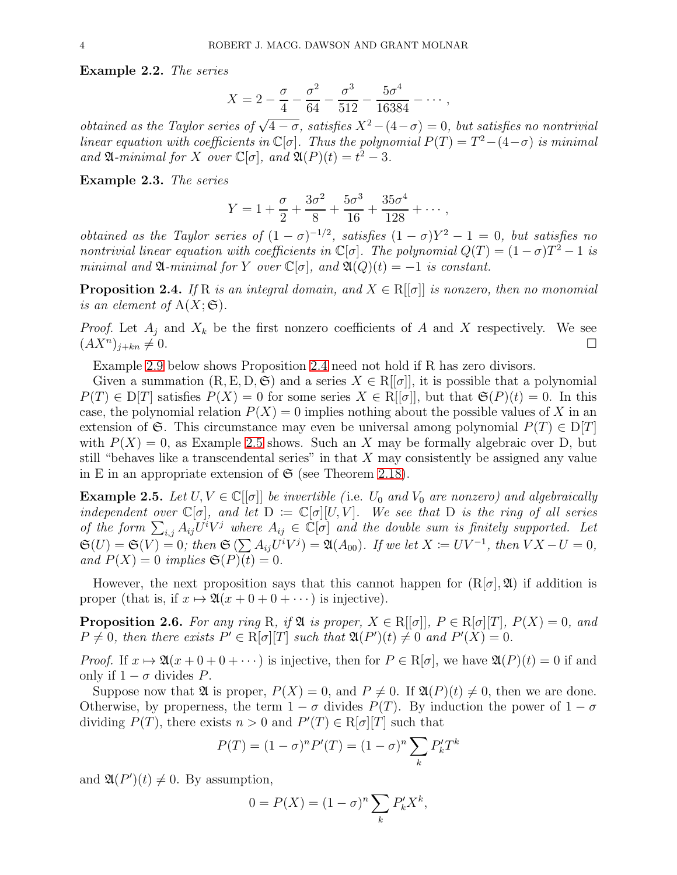Example 2.2. The series

$$
X = 2 - \frac{\sigma}{4} - \frac{\sigma^2}{64} - \frac{\sigma^3}{512} - \frac{5\sigma^4}{16384} - \cdots,
$$

obtained as the Taylor series of  $\sqrt{4-\sigma}$ , satisfies  $X^2-(4-\sigma)=0$ , but satisfies no nontrivial linear equation with coefficients in  $\mathbb{C}[\sigma]$ . Thus the polynomial  $P(T) = T^2 - (4 - \sigma)$  is minimal and  $\mathfrak{A}\text{-minimal for }X$  over  $\mathbb{C}[\sigma]$ , and  $\mathfrak{A}(P)(t) = t^2 - 3$ .

<span id="page-3-3"></span>Example 2.3. The series

$$
Y = 1 + \frac{\sigma}{2} + \frac{3\sigma^2}{8} + \frac{5\sigma^3}{16} + \frac{35\sigma^4}{128} + \cdots,
$$

obtained as the Taylor series of  $(1 - \sigma)^{-1/2}$ , satisfies  $(1 - \sigma)Y^2 - 1 = 0$ , but satisfies no nontrivial linear equation with coefficients in  $\mathbb{C}[\sigma]$ . The polynomial  $Q(T) = (1 - \sigma)T^2 - 1$  is minimal and  $\mathfrak{A}\text{-minimal}$  for Y over  $\mathbb{C}[\sigma]$ , and  $\mathfrak{A}(Q)(t) = -1$  is constant.

<span id="page-3-0"></span>**Proposition 2.4.** If R is an integral domain, and  $X \in R[[\sigma]]$  is nonzero, then no monomial is an element of  $A(X; \mathfrak{S})$ .

*Proof.* Let  $A_j$  and  $X_k$  be the first nonzero coefficients of A and X respectively. We see  $(AX^n)_{i+kn} \neq 0.$  $)_{j+kn} \neq 0.$ 

Example [2.9](#page-4-0) below shows Proposition [2.4](#page-3-0) need not hold if R has zero divisors.

Given a summation  $(R, E, D, \mathfrak{S})$  and a series  $X \in R[[\sigma]]$ , it is possible that a polynomial  $P(T) \in D[T]$  satisfies  $P(X) = 0$  for some series  $X \in R[[\sigma]]$ , but that  $\mathfrak{S}(P)(t) = 0$ . In this case, the polynomial relation  $P(X) = 0$  implies nothing about the possible values of X in an extension of G. This circumstance may even be universal among polynomial  $P(T) \in D[T]$ with  $P(X) = 0$ , as Example [2.5](#page-3-1) shows. Such an X may be formally algebraic over D, but still "behaves like a transcendental series" in that X may consistently be assigned any value in E in an appropriate extension of  $\mathfrak{S}$  (see Theorem [2.18\)](#page-6-0).

<span id="page-3-1"></span>**Example 2.5.** Let  $U, V \in \mathbb{C}[[\sigma]]$  be invertible (i.e.  $U_0$  and  $V_0$  are nonzero) and algebraically independent over  $\mathbb{C}[\sigma]$ , and let  $D := \mathbb{C}[\sigma][U, V]$ . We see that D is the ring of all series of the form  $\sum_{i,j} A_{ij} U^i V^j$  where  $A_{ij} \in \mathbb{C}[\sigma]$  and the double sum is finitely supported. Let  $\mathfrak{S}(U) = \mathfrak{S}(V) = 0$ ; then  $\mathfrak{S}(\sum A_{ij}U^iV^j) = \mathfrak{A}(A_{00})$ . If we let  $X \coloneqq UV^{-1}$ , then  $VX - U = 0$ , and  $P(X) = 0$  implies  $\mathfrak{S}(P)(t) = 0$ .

However, the next proposition says that this cannot happen for  $(R[\sigma], \mathfrak{A})$  if addition is proper (that is, if  $x \mapsto \mathfrak{A}(x + 0 + 0 + \cdots)$  is injective).

<span id="page-3-2"></span>**Proposition 2.6.** For any ring R, if  $\mathfrak{A}$  is proper,  $X \in \mathbb{R}[[\sigma]], P \in \mathbb{R}[\sigma][T], P(X) = 0$ , and  $P \neq 0$ , then there exists  $P' \in \mathcal{R}[\sigma][T]$  such that  $\mathfrak{A}(P')(t) \neq 0$  and  $P'(X) = 0$ .

*Proof.* If  $x \mapsto \mathfrak{A}(x + 0 + 0 + \cdots)$  is injective, then for  $P \in R[\sigma]$ , we have  $\mathfrak{A}(P)(t) = 0$  if and only if  $1 - \sigma$  divides P.

Suppose now that  $\mathfrak A$  is proper,  $P(X) = 0$ , and  $P \neq 0$ . If  $\mathfrak A(P)(t) \neq 0$ , then we are done. Otherwise, by properness, the term  $1 - \sigma$  divides  $P(T)$ . By induction the power of  $1 - \sigma$ dividing  $P(T)$ , there exists  $n > 0$  and  $P'(T) \in R[\sigma][T]$  such that

$$
P(T) = (1 - \sigma)^n P'(T) = (1 - \sigma)^n \sum_k P'_k T^k
$$

and  $\mathfrak{A}(P')(t) \neq 0$ . By assumption,

$$
0 = P(X) = (1 - \sigma)^n \sum_k P'_k X^k,
$$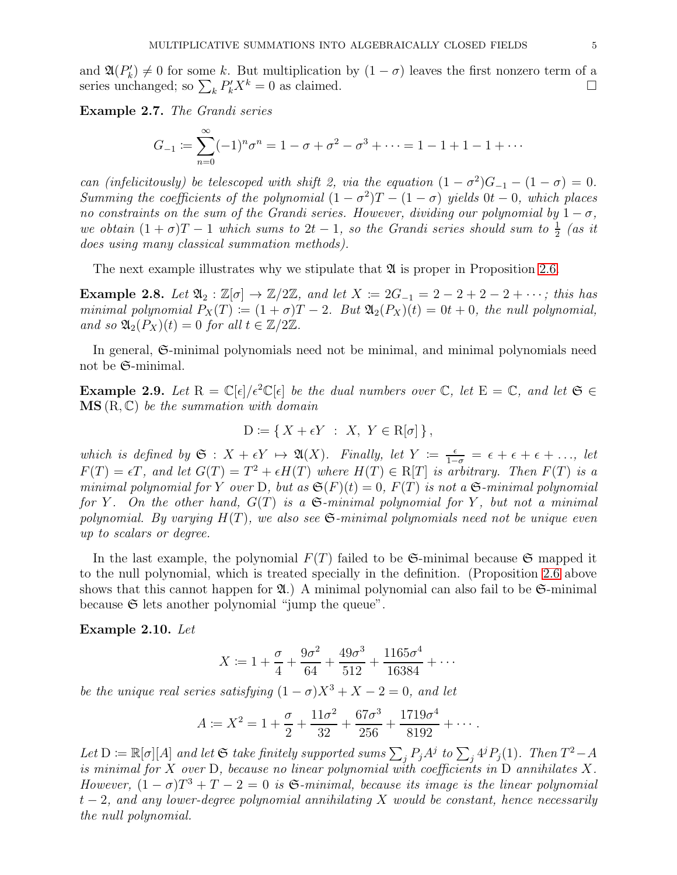and  $\mathfrak{A}(P'_k) \neq 0$  for some k. But multiplication by  $(1 - \sigma)$  leaves the first nonzero term of a series unchanged; so  $\sum_{k} P'_{k} X^{k} = 0$  as claimed.

<span id="page-4-2"></span>Example 2.7. The Grandi series

$$
G_{-1} := \sum_{n=0}^{\infty} (-1)^n \sigma^n = 1 - \sigma + \sigma^2 - \sigma^3 + \dots = 1 - 1 + 1 - 1 + \dots
$$

can (infelicitously) be telescoped with shift 2, via the equation  $(1 - \sigma^2)G_{-1} - (1 - \sigma) = 0$ . Summing the coefficients of the polynomial  $(1 - \sigma^2)T - (1 - \sigma)$  yields 0t – 0, which places no constraints on the sum of the Grandi series. However, dividing our polynomial by  $1 - \sigma$ , we obtain  $(1 + \sigma)T - 1$  which sums to  $2t - 1$ , so the Grandi series should sum to  $\frac{1}{2}$  (as it does using many classical summation methods).

The next example illustrates why we stipulate that  $\mathfrak A$  is proper in Proposition [2.6.](#page-3-2)

<span id="page-4-1"></span>**Example 2.8.** Let  $\mathfrak{A}_2 : \mathbb{Z}[\sigma] \to \mathbb{Z}/2\mathbb{Z}$ , and let  $X := 2G_{-1} = 2 - 2 + 2 - 2 + \cdots$ ; this has minimal polynomial  $P_X(T) := (1 + \sigma)T - 2$ . But  $\mathfrak{A}_2(P_X)(t) = 0t + 0$ , the null polynomial, and so  $\mathfrak{A}_2(P_X)(t) = 0$  for all  $t \in \mathbb{Z}/2\mathbb{Z}$ .

In general, S-minimal polynomials need not be minimal, and minimal polynomials need not be S-minimal.

<span id="page-4-0"></span>**Example 2.9.** Let  $R = \mathbb{C}[\epsilon]/\epsilon^2 \mathbb{C}[\epsilon]$  be the dual numbers over  $\mathbb{C}$ , let  $E = \mathbb{C}$ , and let  $\mathfrak{S} \in$  $\mathbf{MS}(R,\mathbb{C})$  be the summation with domain

$$
\mathcal{D} \coloneqq \{ X + \epsilon Y \; : \; X, \; Y \in \mathcal{R}[\sigma] \},
$$

which is defined by  $\mathfrak{S}: X + \epsilon Y \mapsto \mathfrak{A}(X)$ . Finally, let  $Y := \frac{\epsilon}{1-\sigma} = \epsilon + \epsilon + \epsilon + \ldots$ , let  $F(T) = \epsilon T$ , and let  $G(T) = T^2 + \epsilon H(T)$  where  $H(T) \in R[T]$  is arbitrary. Then  $F(T)$  is a minimal polynomial for Y over D, but as  $\mathfrak{S}(F)(t) = 0$ ,  $F(T)$  is not a  $\mathfrak{S}\text{-minimal polynomial}$ for Y. On the other hand,  $G(T)$  is a  $\mathfrak{S}\text{-minimal polynomial}$  for Y, but not a minimal polynomial. By varying  $H(T)$ , we also see  $\mathfrak{S}\text{-minimal polynomials}$  need not be unique even up to scalars or degree.

In the last example, the polynomial  $F(T)$  failed to be  $\mathfrak{S}$ -minimal because  $\mathfrak{S}$  mapped it to the null polynomial, which is treated specially in the definition. (Proposition [2.6](#page-3-2) above shows that this cannot happen for  $\mathfrak{A}$ .) A minimal polynomial can also fail to be  $\mathfrak{S}\text{-minimal}$ because  $\mathfrak S$  lets another polynomial "jump the queue".

Example 2.10. Let

$$
X := 1 + \frac{\sigma}{4} + \frac{9\sigma^2}{64} + \frac{49\sigma^3}{512} + \frac{1165\sigma^4}{16384} + \cdots
$$

be the unique real series satisfying  $(1 - \sigma)X^3 + X - 2 = 0$ , and let

$$
A \coloneqq X^2 = 1 + \frac{\sigma}{2} + \frac{11\sigma^2}{32} + \frac{67\sigma^3}{256} + \frac{1719\sigma^4}{8192} + \cdots
$$

Let  $D := \mathbb{R}[\sigma][A]$  and let  $\mathfrak{S}$  take finitely supported sums  $\sum_j P_j A^j$  to  $\sum_j 4^j P_j(1)$ . Then  $T^2 - A$ is minimal for X over D, because no linear polynomial with coefficients in D annihilates X. However,  $(1 - \sigma)T^3 + T - 2 = 0$  is  $\mathfrak{S}\text{-minimal}$ , because its image is the linear polynomial  $t-2$ , and any lower-degree polynomial annihilating X would be constant, hence necessarily the null polynomial.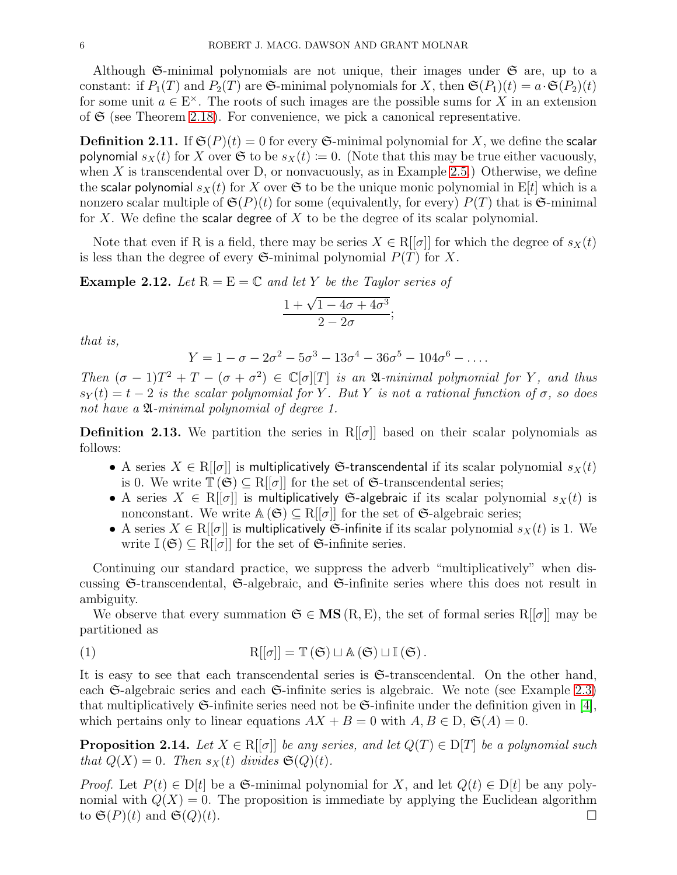Although  $\mathfrak{S}\text{-minimal polynomials}$  are not unique, their images under  $\mathfrak{S}$  are, up to a constant: if  $P_1(T)$  and  $P_2(T)$  are  $\mathfrak{S}\text{-minimal polynomials}$  for X, then  $\mathfrak{S}(P_1)(t) = a \cdot \mathfrak{S}(P_2)(t)$ for some unit  $a \in E^{\times}$ . The roots of such images are the possible sums for X in an extension of  $\mathfrak S$  (see Theorem [2.18\)](#page-6-0). For convenience, we pick a canonical representative.

**Definition 2.11.** If  $\mathfrak{S}(P)(t) = 0$  for every  $\mathfrak{S}\text{-minimal polynomial}$  for X, we define the scalar polynomial  $s_X(t)$  for X over  $\mathfrak{S}$  to be  $s_X(t) \coloneqq 0$ . (Note that this may be true either vacuously, when  $X$  is transcendental over D, or nonvacuously, as in Example [2.5.](#page-3-1)) Otherwise, we define the scalar polynomial  $s_X(t)$  for X over  $\mathfrak S$  to be the unique monic polynomial in E[t] which is a nonzero scalar multiple of  $\mathfrak{S}(P)(t)$  for some (equivalently, for every)  $P(T)$  that is  $\mathfrak{S}\text{-minimal}$ for X. We define the scalar degree of X to be the degree of its scalar polynomial.

Note that even if R is a field, there may be series  $X \in R[[\sigma]]$  for which the degree of  $s_X(t)$ is less than the degree of every  $\mathfrak{S}\text{-minimal polynomial }P(T)$  for X.

<span id="page-5-0"></span>**Example 2.12.** Let  $R = E = C$  and let Y be the Taylor series of

$$
\frac{1+\sqrt{1-4\sigma+4\sigma^3}}{2-2\sigma};
$$

that is,

$$
Y = 1 - \sigma - 2\sigma^2 - 5\sigma^3 - 13\sigma^4 - 36\sigma^5 - 104\sigma^6 - \dots
$$

Then  $(\sigma - 1)T^2 + T - (\sigma + \sigma^2) \in \mathbb{C}[\sigma][T]$  is an  $\mathfrak{A}\text{-minimal polynomial for }Y$ , and thus  $s_Y(t) = t - 2$  is the scalar polynomial for Y. But Y is not a rational function of  $\sigma$ , so does not have a  $\mathfrak A$ -minimal polynomial of degree 1.

<span id="page-5-1"></span>**Definition 2.13.** We partition the series in  $R[[\sigma]]$  based on their scalar polynomials as follows:

- A series  $X \in R[[\sigma]]$  is multiplicatively G-transcendental if its scalar polynomial  $s_X(t)$ is 0. We write  $\mathbb{T}(\mathfrak{S}) \subset R[[\sigma]]$  for the set of  $\mathfrak{S}\text{-transcendental series}$ ;
- A series  $X \in R[[\sigma]]$  is multiplicatively G-algebraic if its scalar polynomial  $s_X(t)$  is nonconstant. We write  $\mathbb{A}(\mathfrak{S}) \subseteq \mathbb{R}[[\sigma]]$  for the set of G-algebraic series;
- A series  $X \in \mathbb{R}[[\sigma]]$  is multiplicatively G-infinite if its scalar polynomial  $s_X(t)$  is 1. We write  $\mathbb{I}(\mathfrak{S}) \subseteq \mathbb{R}[[\sigma]]$  for the set of  $\mathfrak{S}\text{-infinite}$  series.

Continuing our standard practice, we suppress the adverb "multiplicatively" when discussing S-transcendental, S-algebraic, and S-infinite series where this does not result in ambiguity.

We observe that every summation  $\mathfrak{S} \in \mathbf{MS}(R, E)$ , the set of formal series  $R[[\sigma]]$  may be partitioned as

<span id="page-5-3"></span>(1) 
$$
R[[\sigma]] = \mathbb{T}(\mathfrak{S}) \sqcup \mathbb{A}(\mathfrak{S}) \sqcup \mathbb{I}(\mathfrak{S}).
$$

It is easy to see that each transcendental series is S-transcendental. On the other hand, each S-algebraic series and each S-infinite series is algebraic. We note (see Example [2.3\)](#page-3-3) that multiplicatively  $\mathfrak{S}\text{-infinite}$  series need not be  $\mathfrak{S}\text{-infinite}$  under the definition given in [\[4\]](#page-17-2), which pertains only to linear equations  $AX + B = 0$  with  $A, B \in D$ ,  $\mathfrak{S}(A) = 0$ .

<span id="page-5-2"></span>**Proposition 2.14.** Let  $X \in R[[\sigma]]$  be any series, and let  $Q(T) \in D[T]$  be a polynomial such that  $Q(X) = 0$ . Then  $s_X(t)$  divides  $\mathfrak{S}(Q)(t)$ .

*Proof.* Let  $P(t) \in D[t]$  be a G-minimal polynomial for X, and let  $Q(t) \in D[t]$  be any polynomial with  $Q(X) = 0$ . The proposition is immediate by applying the Euclidean algorithm to  $\mathfrak{S}(P)(t)$  and  $\mathfrak{S}(Q)(t)$ .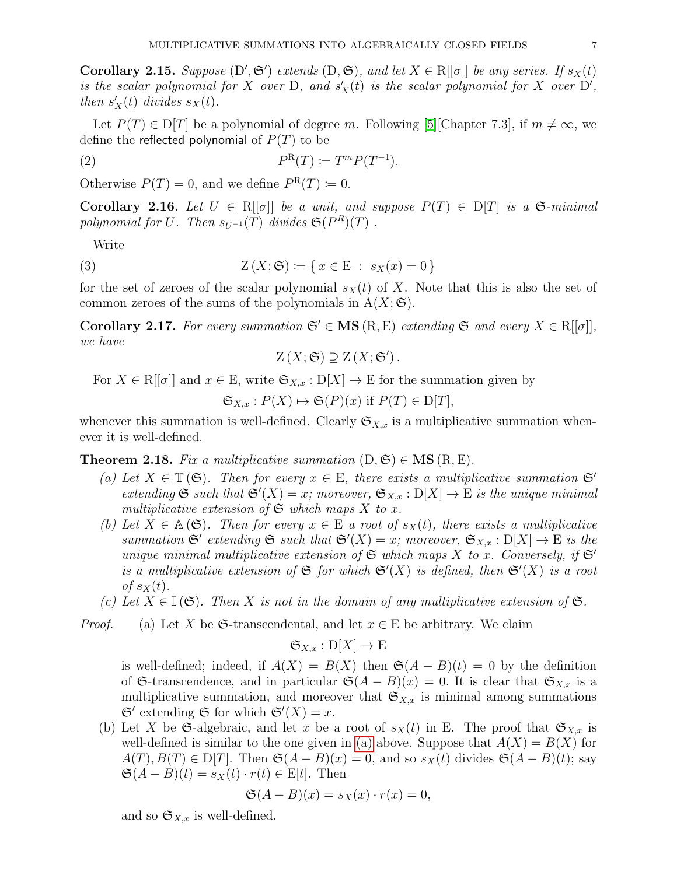<span id="page-6-3"></span>Corollary 2.15. Suppose  $(D', \mathfrak{S}')$  extends  $(D, \mathfrak{S})$ , and let  $X \in R[[\sigma]]$  be any series. If  $s_X(t)$ is the scalar polynomial for X over D, and  $s'_X(t)$  is the scalar polynomial for X over D', then  $s'_X(t)$  divides  $s_X(t)$ .

Let  $P(T) \in D[T]$  be a polynomial of degree m. Following [\[5\]](#page-17-3)[Chapter 7.3], if  $m \neq \infty$ , we define the reflected polynomial of  $P(T)$  to be

$$
(2) \t\t\t PR(T) := TmP(T-1).
$$

Otherwise  $P(T) = 0$ , and we define  $P^{R}(T) \coloneqq 0$ .

<span id="page-6-2"></span>Corollary 2.16. Let  $U \in R[[\sigma]]$  be a unit, and suppose  $P(T) \in D[T]$  is a  $\mathfrak{S}\text{-minimal}$ polynomial for U. Then  $s_{U^{-1}}(T)$  divides  $\mathfrak{S}(P^R)(T)$ .

Write

(3) 
$$
Z(X; \mathfrak{S}) := \{ x \in E : s_X(x) = 0 \}
$$

for the set of zeroes of the scalar polynomial  $s<sub>X</sub>(t)$  of X. Note that this is also the set of common zeroes of the sums of the polynomials in  $A(X; \mathfrak{S})$ .

**Corollary 2.17.** For every summation  $\mathfrak{S}' \in \mathbf{MS}(R, E)$  extending  $\mathfrak{S}$  and every  $X \in R[[\sigma]]$ , we have

$$
\mathrm{Z}\left( X;\mathfrak{S}\right) \supseteq \mathrm{Z}\left( X;\mathfrak{S}^{\prime }\right) .
$$

For  $X \in \mathbb{R}[[\sigma]]$  and  $x \in \mathbb{E}$ , write  $\mathfrak{S}_{X,x} : D[X] \to \mathbb{E}$  for the summation given by

$$
\mathfrak{S}_{X,x}:P(X)\mapsto \mathfrak{S}(P)(x)\,\,\text{if}\,\,P(T)\in\mathrm{D}[T],
$$

whenever this summation is well-defined. Clearly  $\mathfrak{S}_{X,x}$  is a multiplicative summation whenever it is well-defined.

<span id="page-6-0"></span>**Theorem 2.18.** Fix a multiplicative summation  $(D, \mathfrak{S}) \in MS(R, E)$ .

- (a) Let  $X \in \mathbb{T}(\mathfrak{S})$ . Then for every  $x \in E$ , there exists a multiplicative summation  $\mathfrak{S}'$ extending  $\mathfrak{S}$  such that  $\mathfrak{S}'(X) = x$ ; moreover,  $\mathfrak{S}_{X,x} : D[X] \to E$  is the unique minimal multiplicative extension of  $\mathfrak S$  which maps X to x.
- (b) Let  $X \in A(\mathfrak{S})$ . Then for every  $x \in E$  a root of  $s_X(t)$ , there exists a multiplicative summation  $\mathfrak{S}'$  extending  $\mathfrak{S}$  such that  $\mathfrak{S}'(X) = x$ ; moreover,  $\mathfrak{S}_{X,x} : D[X] \to E$  is the unique minimal multiplicative extension of  $\mathfrak S$  which maps X to x. Conversely, if  $\mathfrak S'$ is a multiplicative extension of  $G$  for which  $G'(X)$  is defined, then  $G'(X)$  is a root of  $s_X(t)$ .
- (c) Let  $X \in \mathbb{I}(\mathfrak{S})$ . Then X is not in the domain of any multiplicative extension of  $\mathfrak{S}$ .

<span id="page-6-1"></span>*Proof.* (a) Let X be G-transcendental, and let  $x \in E$  be arbitrary. We claim

$$
\mathfrak{S}_{X,x}:\mathrm{D}[X]\to \mathrm{E}
$$

is well-defined; indeed, if  $A(X) = B(X)$  then  $\mathfrak{S}(A - B)(t) = 0$  by the definition of G-transcendence, and in particular  $\mathfrak{S}(A - B)(x) = 0$ . It is clear that  $\mathfrak{S}_{X,x}$  is a multiplicative summation, and moreover that  $\mathfrak{S}_{X,x}$  is minimal among summations  $\mathfrak{S}'$  extending  $\mathfrak{S}$  for which  $\mathfrak{S}'(X) = x$ .

(b) Let X be G-algebraic, and let x be a root of  $s_X(t)$  in E. The proof that  $\mathfrak{S}_{X,x}$  is well-defined is similar to the one given in [\(a\)](#page-6-1) above. Suppose that  $A(X) = B(X)$  for  $A(T), B(T) \in D[T]$ . Then  $\mathfrak{S}(A - B)(x) = 0$ , and so  $s_X(t)$  divides  $\mathfrak{S}(A - B)(t)$ ; say  $\mathfrak{S}(A-B)(t)=s_X(t)\cdot r(t)\in E[t]$ . Then

$$
\mathfrak{S}(A-B)(x) = s_X(x) \cdot r(x) = 0,
$$

and so  $\mathfrak{S}_{X,x}$  is well-defined.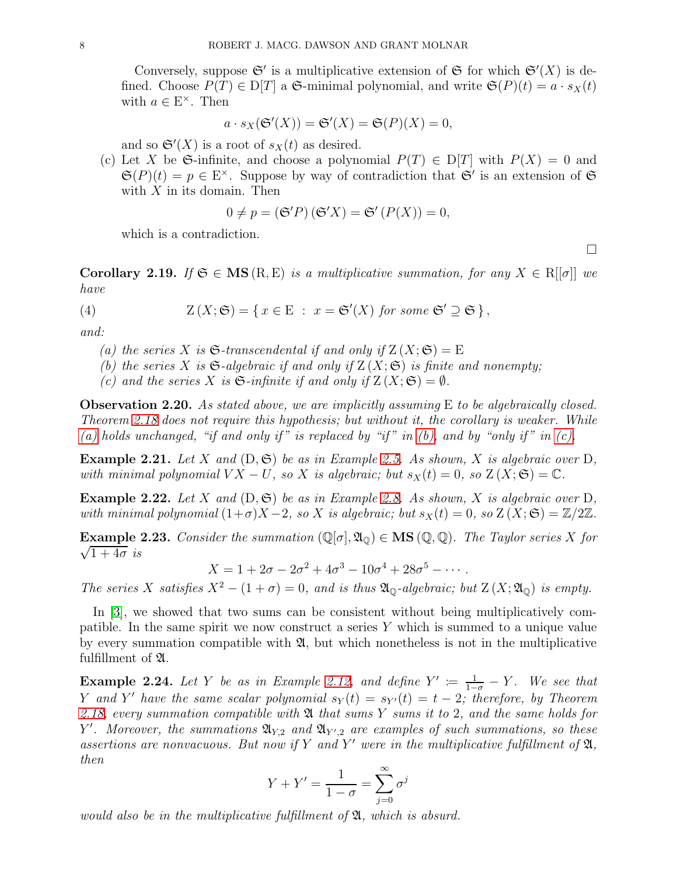Conversely, suppose  $\mathfrak{S}'$  is a multiplicative extension of  $\mathfrak{S}$  for which  $\mathfrak{S}'(X)$  is defined. Choose  $P(T) \in D[T]$  a G-minimal polynomial, and write  $\mathfrak{S}(P)(t) = a \cdot s_X(t)$ with  $a \in E^{\times}$ . Then

$$
a \cdot s_X(\mathfrak{S}'(X)) = \mathfrak{S}'(X) = \mathfrak{S}(P)(X) = 0,
$$

and so  $\mathfrak{S}'(X)$  is a root of  $s_X(t)$  as desired.

(c) Let X be G-infinite, and choose a polynomial  $P(T) \in D[T]$  with  $P(X) = 0$  and  $\mathfrak{S}(P)(t) = p \in E^{\times}$ . Suppose by way of contradiction that  $\mathfrak{S}'$  is an extension of  $\mathfrak{S}$ with  $X$  in its domain. Then

$$
0 \neq p = (\mathfrak{S}'P)(\mathfrak{S}'X) = \mathfrak{S}'(P(X)) = 0,
$$

which is a contradiction.

<span id="page-7-5"></span>Corollary 2.19. If  $\mathfrak{S} \in \mathbf{MS}(R, E)$  is a multiplicative summation, for any  $X \in R[[\sigma]]$  we have

(4) 
$$
Z(X; \mathfrak{S}) = \{ x \in E : x = \mathfrak{S}'(X) \text{ for some } \mathfrak{S}' \supseteq \mathfrak{S} \},
$$

<span id="page-7-1"></span><span id="page-7-0"></span>and:

<span id="page-7-4"></span>(a) the series X is  $\mathfrak{S}\text{-}transcendental$  if and only if  $Z(X;\mathfrak{S})=E$ 

- <span id="page-7-2"></span>(b) the series X is  $\mathfrak{S}\text{-}algebraic$  if and only if  $\mathfrak{Z}(X;\mathfrak{S})$  is finite and nonempty;
- (c) and the series X is  $\mathfrak{S}\text{-infinite}$  if and only if  $Z(X;\mathfrak{S})=\emptyset$ .

Observation 2.20. As stated above, we are implicitly assuming E to be algebraically closed. Theorem [2.18](#page-6-0) does not require this hypothesis; but without it, the corollary is weaker. While [\(a\)](#page-7-0) holds unchanged, "if and only if" is replaced by "if" in [\(b\),](#page-7-1) and by "only if" in [\(c\).](#page-7-2)

**Example 2.21.** Let X and  $(D, \mathfrak{S})$  be as in Example [2.5.](#page-3-1) As shown, X is algebraic over D, with minimal polynomial  $V X - U$ , so X is algebraic; but  $s_X(t) = 0$ , so  $Z(X; \mathfrak{S}) = \mathbb{C}$ .

**Example 2.22.** Let X and  $(D, \mathfrak{S})$  be as in Example [2.8.](#page-4-1) As shown, X is algebraic over D, with minimal polynomial  $(1+\sigma)X-2$ , so X is algebraic; but  $s_X(t) = 0$ , so  $Z(X; \mathfrak{S}) = \mathbb{Z}/2\mathbb{Z}$ .

**Example 2.23.** Consider the summation  $(\mathbb{Q}[\sigma], \mathfrak{A}_{\mathbb{Q}}) \in \mathbf{MS}(\mathbb{Q}, \mathbb{Q})$ . The Taylor series X for  $\sqrt{1+4\sigma}$  is

$$
X = 1 + 2\sigma - 2\sigma^2 + 4\sigma^3 - 10\sigma^4 + 28\sigma^5 - \cdots
$$

The series X satisfies  $X^2 - (1 + \sigma) = 0$ , and is thus  $\mathfrak{A}_{\mathbb{Q}}$ -algebraic; but  $Z(X; \mathfrak{A}_{\mathbb{Q}})$  is empty.

In [\[3\]](#page-17-0), we showed that two sums can be consistent without being multiplicatively compatible. In the same spirit we now construct a series  $Y$  which is summed to a unique value by every summation compatible with  $\mathfrak{A}$ , but which nonetheless is not in the multiplicative fulfillment of  $\mathfrak{A}$ .

<span id="page-7-3"></span>**Example 2.24.** Let Y be as in Example [2.12,](#page-5-0) and define  $Y' := \frac{1}{1-\sigma} - Y$ . We see that Y and Y' have the same scalar polynomial  $s_Y(t) = s_{Y'}(t) = t - 2$ ; therefore, by Theorem [2.18,](#page-6-0) every summation compatible with  $\mathfrak A$  that sums Y sums it to 2, and the same holds for Y'. Moreover, the summations  $\mathfrak{A}_{Y,2}$  and  $\mathfrak{A}_{Y',2}$  are examples of such summations, so these assertions are nonvacuous. But now if Y and Y' were in the multiplicative fulfillment of  $\mathfrak{A},$ then

$$
Y + Y' = \frac{1}{1 - \sigma} = \sum_{j=0}^{\infty} \sigma^j
$$

would also be in the multiplicative fulfillment of  $\mathfrak{A}$ , which is absurd.

 $\Box$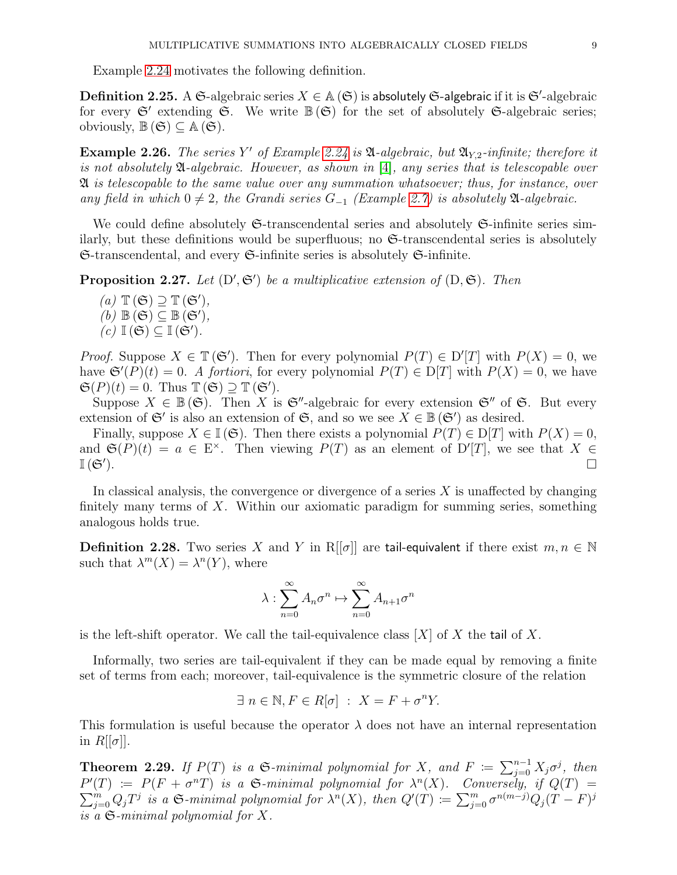Example [2.24](#page-7-3) motivates the following definition.

<span id="page-8-0"></span>**Definition 2.25.** A  $\mathfrak{S}$ -algebraic series  $X \in \mathbb{A}(\mathfrak{S})$  is absolutely  $\mathfrak{S}$ -algebraic if it is  $\mathfrak{S}'$ -algebraic for every  $\mathfrak{S}'$  extending  $\mathfrak{S}$ . We write  $\mathbb{B}(\mathfrak{S})$  for the set of absolutely  $\mathfrak{S}$ -algebraic series; obviously,  $\mathbb{B}(\mathfrak{S}) \subset \mathbb{A}(\mathfrak{S})$ .

**Example 2.26.** The series Y' of Example [2.24](#page-7-3) is  $\mathfrak{A}$ -algebraic, but  $\mathfrak{A}_{Y,2}$ -infinite; therefore it is not absolutely  $\mathfrak{A}\text{-}algebraic$ . However, as shown in [\[4\]](#page-17-2), any series that is telescopable over A is telescopable to the same value over any summation whatsoever; thus, for instance, over any field in which  $0 \neq 2$ , the Grandi series  $G_{-1}$  (Example [2.7\)](#page-4-2) is absolutely  $\mathfrak{A}$ -algebraic.

We could define absolutely G-transcendental series and absolutely G-infinite series similarly, but these definitions would be superfluous; no S-transcendental series is absolutely  $\mathfrak{S}\text{-transcendental}$ , and every  $\mathfrak{S}\text{-infinite}$  series is absolutely  $\mathfrak{S}\text{-infinite}$ .

<span id="page-8-1"></span>**Proposition 2.27.** Let  $(D', \mathfrak{S}')$  be a multiplicative extension of  $(D, \mathfrak{S})$ . Then

 $(a)$   $\mathbb{T}(\mathfrak{S}) \supseteq \mathbb{T}(\mathfrak{S}'),$  $(b) \mathbb{B}(S) \subseteq \mathbb{B}(S')$ ,  $(c) \mathbb{I}(\mathfrak{S}) \subseteq \mathbb{I}(\mathfrak{S}^{\prime}).$ 

*Proof.* Suppose  $X \in \mathbb{T}(\mathfrak{S})$ . Then for every polynomial  $P(T) \in D'[T]$  with  $P(X) = 0$ , we have  $\mathfrak{S}'(P)(t) = 0$ . A fortiori, for every polynomial  $P(T) \in D[T]$  with  $P(X) = 0$ , we have  $\mathfrak{S}(P)(t) = 0$ . Thus  $\mathbb{T}(\mathfrak{S}) \supseteq \mathbb{T}(\mathfrak{S}')$ .

Suppose  $X \in \mathbb{B}(\mathfrak{S})$ . Then X is  $\mathfrak{S}''$ -algebraic for every extension  $\mathfrak{S}''$  of  $\mathfrak{S}$ . But every extension of  $\mathfrak{S}'$  is also an extension of  $\mathfrak{S}$ , and so we see  $X \in \mathbb{B}(\mathfrak{S}')$  as desired.

Finally, suppose  $X \in \mathbb{I}(\mathfrak{S})$ . Then there exists a polynomial  $P(T) \in D[T]$  with  $P(X) = 0$ , and  $\mathfrak{S}(P)(t) = a \in E^{\times}$ . Then viewing  $P(T)$  as an element of  $D'[T]$ , we see that  $X \in$  $\mathbb{I}(\mathfrak{S}^{\prime}).$ ).

In classical analysis, the convergence or divergence of a series  $X$  is unaffected by changing finitely many terms of  $X$ . Within our axiomatic paradigm for summing series, something analogous holds true.

**Definition 2.28.** Two series X and Y in R[ $[\sigma]$ ] are tail-equivalent if there exist  $m, n \in \mathbb{N}$ such that  $\lambda^m(X) = \lambda^n(Y)$ , where

$$
\lambda : \sum_{n=0}^{\infty} A_n \sigma^n \mapsto \sum_{n=0}^{\infty} A_{n+1} \sigma^n
$$

is the left-shift operator. We call the tail-equivalence class  $|X|$  of X the tail of X.

Informally, two series are tail-equivalent if they can be made equal by removing a finite set of terms from each; moreover, tail-equivalence is the symmetric closure of the relation

$$
\exists n \in \mathbb{N}, F \in R[\sigma] : X = F + \sigma^n Y.
$$

This formulation is useful because the operator  $\lambda$  does not have an internal representation in  $R[[\sigma]]$ .

**Theorem 2.29.** If  $P(T)$  is a  $\mathfrak{S}\text{-minimal polynomial for }X$ , and  $F := \sum_{j=0}^{n-1} X_j \sigma^j$ , then  $P'(T) := P(F + \sigma^n T)$  is a  $\mathfrak{S}\text{-minimal polynomial for }\lambda^n$  $\sum$  $(T) := P(F + \sigma^n T)$  is a  $\mathfrak{S}\text{-minimal polynomial for }\lambda^n(X)$ . Conversely, if  $Q(T) = \sum_{j=0}^m Q_j T^j$  is a  $\mathfrak{S}\text{-minimal polynomial for }\lambda^n(X)$ , then  $Q'(T) := \sum_{j=0}^m \sigma^{n(m-j)} Q_j (T - F)^j$ is a  $\mathfrak S$ -minimal polynomial for X.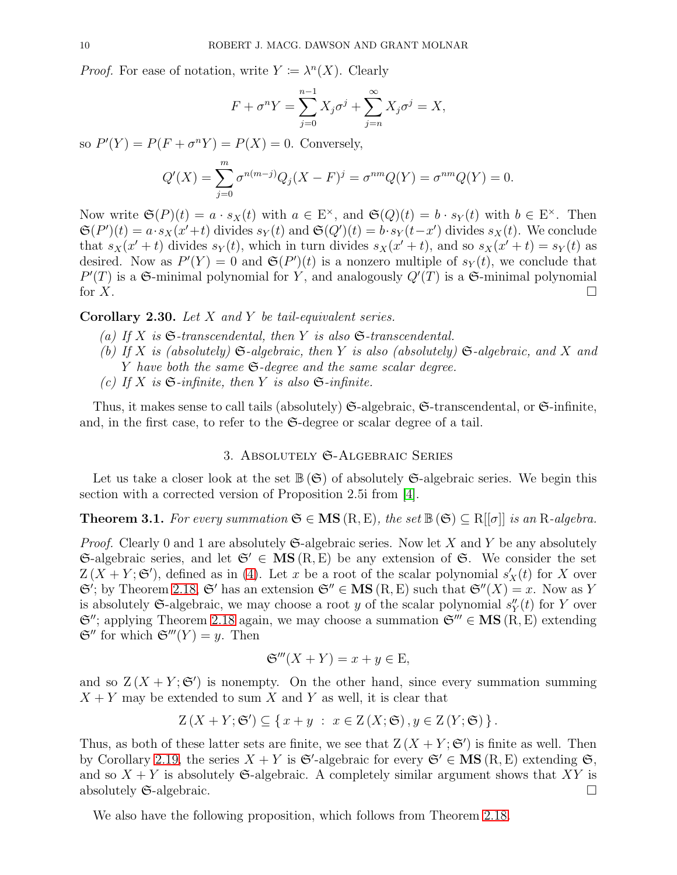*Proof.* For ease of notation, write  $Y \coloneqq \lambda^n(X)$ . Clearly

$$
F + \sigma^n Y = \sum_{j=0}^{n-1} X_j \sigma^j + \sum_{j=n}^{\infty} X_j \sigma^j = X,
$$

so  $P'(Y) = P(F + \sigma^n Y) = P(X) = 0$ . Conversely,

$$
Q'(X) = \sum_{j=0}^{m} \sigma^{n(m-j)} Q_j (X - F)^j = \sigma^{nm} Q(Y) = \sigma^{nm} Q(Y) = 0.
$$

Now write  $\mathfrak{S}(P)(t) = a \cdot s_X(t)$  with  $a \in E^{\times}$ , and  $\mathfrak{S}(Q)(t) = b \cdot s_Y(t)$  with  $b \in E^{\times}$ . Then  $\mathfrak{S}(P')(t) = a \cdot s_X(x'+t)$  divides  $s_Y(t)$  and  $\mathfrak{S}(Q')(t) = b \cdot s_Y(t-x')$  divides  $s_X(t)$ . We conclude that  $s_X(x'+t)$  divides  $s_Y(t)$ , which in turn divides  $s_X(x'+t)$ , and so  $s_X(x'+t) = s_Y(t)$  as desired. Now as  $P'(Y) = 0$  and  $\mathfrak{S}(P')(t)$  is a nonzero multiple of  $s_Y(t)$ , we conclude that  $P'(T)$  is a G-minimal polynomial for Y, and analogously  $Q'(T)$  is a G-minimal polynomial for  $X$ .

<span id="page-9-2"></span>Corollary 2.30. Let X and Y be tail-equivalent series.

- (a) If X is  $\mathfrak{S}\text{-}transcendental$ , then Y is also  $\mathfrak{S}\text{-}transcendental$ .
- (b) If X is (absolutely)  $\mathfrak{S}\text{-}algebraic$ , then Y is also (absolutely)  $\mathfrak{S}\text{-}algebraic$ , and X and
	- Y have both the same G-degree and the same scalar degree.
- (c) If X is  $\mathfrak{S}\text{-infinite}$ , then Y is also  $\mathfrak{S}\text{-infinite}$ .

<span id="page-9-0"></span>Thus, it makes sense to call tails (absolutely)  $\mathfrak{S}\text{-algebraic}, \mathfrak{S}\text{-transcendental},$  or  $\mathfrak{S}\text{-infinite},$ and, in the first case, to refer to the S-degree or scalar degree of a tail.

# 3. Absolutely S-Algebraic Series

Let us take a closer look at the set  $\mathbb{B}(\mathfrak{S})$  of absolutely  $\mathfrak{S}$ -algebraic series. We begin this section with a corrected version of Proposition 2.5i from [\[4\]](#page-17-2).

<span id="page-9-1"></span>**Theorem 3.1.** For every summation  $\mathfrak{S} \in \mathbf{MS}(R, E)$ , the set  $\mathbb{B}(\mathfrak{S}) \subseteq R[[\sigma]]$  is an R-algebra.

*Proof.* Clearly 0 and 1 are absolutely  $\mathfrak{S}\text{-algebraic series.}$  Now let X and Y be any absolutely G-algebraic series, and let  $\mathfrak{S}' \in \mathbf{MS}(R, E)$  be any extension of G. We consider the set  $Z(X+Y;\mathfrak{S}')$ , defined as in [\(4\)](#page-7-4). Let x be a root of the scalar polynomial  $s'_X(t)$  for X over  $\mathfrak{S}'$ ; by Theorem [2.18,](#page-6-0)  $\mathfrak{S}'$  has an extension  $\mathfrak{S}'' \in \mathbf{MS}(R, E)$  such that  $\mathfrak{S}''(X) = x$ . Now as Y is absolutely G-algebraic, we may choose a root y of the scalar polynomial  $s''_Y(t)$  for Y over  $\mathfrak{S}''$ ; applying Theorem [2.18](#page-6-0) again, we may choose a summation  $\mathfrak{S}''' \in MS(R, E)$  extending  $\mathfrak{S}''$  for which  $\mathfrak{S}'''(Y) = y$ . Then

$$
\mathfrak{S}'''(X+Y) = x + y \in \mathcal{E},
$$

and so  $Z(X + Y; \mathfrak{S}')$  is nonempty. On the other hand, since every summation summing  $X + Y$  may be extended to sum X and Y as well, it is clear that

$$
Z(X + Y; \mathfrak{S}') \subseteq \{ x + y \; : \; x \in Z(X; \mathfrak{S}), y \in Z(Y; \mathfrak{S}) \}.
$$

Thus, as both of these latter sets are finite, we see that  $Z(X + Y; \mathfrak{S}')$  is finite as well. Then by Corollary [2.19,](#page-7-5) the series  $X + Y$  is  $\mathfrak{S}'$ -algebraic for every  $\mathfrak{S}' \in MS(R, E)$  extending  $\mathfrak{S}$ , and so  $X + Y$  is absolutely G-algebraic. A completely similar argument shows that XY is absolutely G-algebraic.

We also have the following proposition, which follows from Theorem [2.18.](#page-6-0)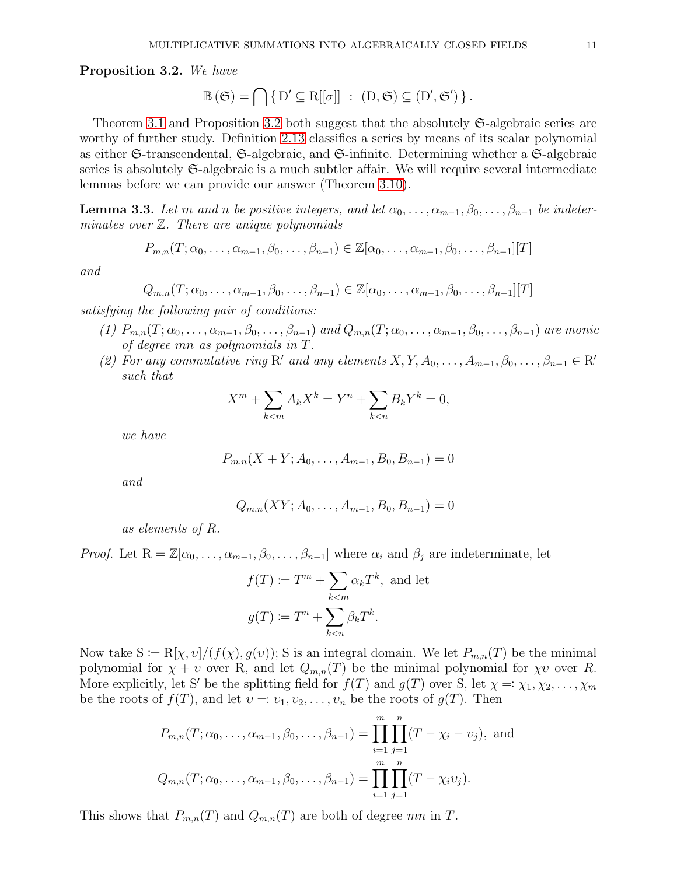<span id="page-10-0"></span>Proposition 3.2. We have

$$
\mathbb{B}(\mathfrak{S}) = \bigcap \{ D' \subseteq R[[\sigma]] \; : \; (D, \mathfrak{S}) \subseteq (D', \mathfrak{S}') \}.
$$

Theorem [3.1](#page-9-1) and Proposition [3.2](#page-10-0) both suggest that the absolutely  $\mathfrak{S}\text{-algebraic series}$  are worthy of further study. Definition [2.13](#page-5-1) classifies a series by means of its scalar polynomial as either S-transcendental, S-algebraic, and S-infinite. Determining whether a S-algebraic series is absolutely  $\mathfrak{S}\text{-algebraic}$  is a much subtler affair. We will require several intermediate lemmas before we can provide our answer (Theorem [3.10\)](#page-13-0).

<span id="page-10-2"></span>**Lemma 3.3.** Let m and n be positive integers, and let  $\alpha_0, \ldots, \alpha_{m-1}, \beta_0, \ldots, \beta_{n-1}$  be indeterminates over  $Z$ . There are unique polynomials

$$
P_{m,n}(T;\alpha_0,\ldots,\alpha_{m-1},\beta_0,\ldots,\beta_{n-1})\in\mathbb{Z}[\alpha_0,\ldots,\alpha_{m-1},\beta_0,\ldots,\beta_{n-1}][T]
$$

and

$$
Q_{m,n}(T;\alpha_0,\ldots,\alpha_{m-1},\beta_0,\ldots,\beta_{n-1}) \in \mathbb{Z}[\alpha_0,\ldots,\alpha_{m-1},\beta_0,\ldots,\beta_{n-1}][T]
$$

<span id="page-10-3"></span>satisfying the following pair of conditions:

- (1)  $P_{m,n}(T; \alpha_0, \ldots, \alpha_{m-1}, \beta_0, \ldots, \beta_{n-1})$  and  $Q_{m,n}(T; \alpha_0, \ldots, \alpha_{m-1}, \beta_0, \ldots, \beta_{n-1})$  are monic of degree mn as polynomials in T.
- <span id="page-10-1"></span>(2) For any commutative ring R' and any elements  $X, Y, A_0, \ldots, A_{m-1}, \beta_0, \ldots, \beta_{n-1} \in \mathbb{R}'$ such that

$$
X^{m} + \sum_{k < m} A_k X^{k} = Y^{n} + \sum_{k < n} B_k Y^{k} = 0,
$$

we have

$$
P_{m,n}(X+Y;A_0,\ldots,A_{m-1},B_0,B_{n-1})=0
$$

and

$$
Q_{m,n}(XY; A_0, \ldots, A_{m-1}, B_0, B_{n-1}) = 0
$$

as elements of R.

*Proof.* Let  $R = \mathbb{Z}[\alpha_0, \ldots, \alpha_{m-1}, \beta_0, \ldots, \beta_{n-1}]$  where  $\alpha_i$  and  $\beta_j$  are indeterminate, let

$$
f(T) := Tm + \sum_{k < m} \alpha_k T^k, \text{ and let}
$$

$$
g(T) := Tn + \sum_{k < n} \beta_k T^k.
$$

Now take  $S := R[\chi, v]/(f(\chi), g(v));$  S is an integral domain. We let  $P_{m,n}(T)$  be the minimal polynomial for  $\chi + v$  over R, and let  $Q_{m,n}(T)$  be the minimal polynomial for  $\chi v$  over R. More explicitly, let S' be the splitting field for  $f(T)$  and  $g(T)$  over S, let  $\chi =: \chi_1, \chi_2, \ldots, \chi_m$ be the roots of  $f(T)$ , and let  $v = v_1, v_2, \ldots, v_n$  be the roots of  $g(T)$ . Then

$$
P_{m,n}(T; \alpha_0, \dots, \alpha_{m-1}, \beta_0, \dots, \beta_{n-1}) = \prod_{i=1}^m \prod_{j=1}^n (T - \chi_i - \upsilon_j), \text{ and}
$$
  

$$
Q_{m,n}(T; \alpha_0, \dots, \alpha_{m-1}, \beta_0, \dots, \beta_{n-1}) = \prod_{i=1}^m \prod_{j=1}^n (T - \chi_i \upsilon_j).
$$

This shows that  $P_{m,n}(T)$  and  $Q_{m,n}(T)$  are both of degree mn in T.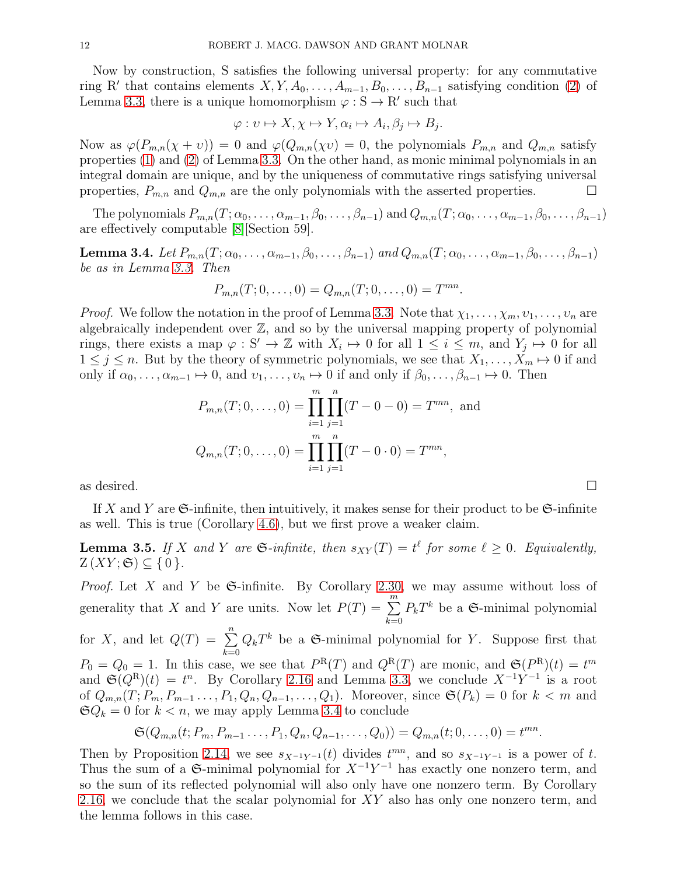Now by construction, S satisfies the following universal property: for any commutative ring R' that contains elements  $X, Y, A_0, \ldots, A_{m-1}, B_0, \ldots, B_{n-1}$  satisfying condition [\(2\)](#page-10-1) of Lemma [3.3,](#page-10-2) there is a unique homomorphism  $\varphi : S \to R'$  such that

$$
\varphi: \upsilon \mapsto X, \chi \mapsto Y, \alpha_i \mapsto A_i, \beta_j \mapsto B_j.
$$

Now as  $\varphi(P_{m,n}(\chi + v)) = 0$  and  $\varphi(Q_{m,n}(\chi v)) = 0$ , the polynomials  $P_{m,n}$  and  $Q_{m,n}$  satisfy properties [\(1\)](#page-10-3) and [\(2\)](#page-10-1) of Lemma [3.3.](#page-10-2) On the other hand, as monic minimal polynomials in an integral domain are unique, and by the uniqueness of commutative rings satisfying universal properties,  $P_{m,n}$  and  $Q_{m,n}$  are the only polynomials with the asserted properties.

The polynomials  $P_{m,n}(T; \alpha_0, \ldots, \alpha_{m-1}, \beta_0, \ldots, \beta_{n-1})$  and  $Q_{m,n}(T; \alpha_0, \ldots, \alpha_{m-1}, \beta_0, \ldots, \beta_{n-1})$ are effectively computable [\[8\]](#page-18-0)[Section 59].

<span id="page-11-0"></span>Lemma 3.4. Let  $P_{m,n}(T; \alpha_0, \ldots, \alpha_{m-1}, \beta_0, \ldots, \beta_{n-1})$  and  $Q_{m,n}(T; \alpha_0, \ldots, \alpha_{m-1}, \beta_0, \ldots, \beta_{n-1})$ be as in Lemma [3.3.](#page-10-2) Then

$$
P_{m,n}(T; 0, \ldots, 0) = Q_{m,n}(T; 0, \ldots, 0) = T^{mn}.
$$

*Proof.* We follow the notation in the proof of Lemma [3.3.](#page-10-2) Note that  $\chi_1, \ldots, \chi_m, \upsilon_1, \ldots, \upsilon_n$  are algebraically independent over  $\mathbb{Z}$ , and so by the universal mapping property of polynomial rings, there exists a map  $\varphi : S' \to \mathbb{Z}$  with  $X_i \mapsto 0$  for all  $1 \leq i \leq m$ , and  $Y_j \mapsto 0$  for all  $1 \leq j \leq n$ . But by the theory of symmetric polynomials, we see that  $X_1, \ldots, X_m \mapsto 0$  if and only if  $\alpha_0, \ldots, \alpha_{m-1} \mapsto 0$ , and  $v_1, \ldots, v_n \mapsto 0$  if and only if  $\beta_0, \ldots, \beta_{n-1} \mapsto 0$ . Then

$$
P_{m,n}(T; 0, \dots, 0) = \prod_{i=1}^{m} \prod_{j=1}^{n} (T - 0 - 0) = T^{mn}, \text{ and}
$$
  

$$
Q_{m,n}(T; 0, \dots, 0) = \prod_{i=1}^{m} \prod_{j=1}^{n} (T - 0 \cdot 0) = T^{mn},
$$
as desired.

If X and Y are  $\mathfrak{S}\text{-}\inf$  interimposity it makes sense for their product to be  $\mathfrak{S}\text{-}\inf$  interimposity as well. This is true (Corollary [4.6\)](#page-16-1), but we first prove a weaker claim.

<span id="page-11-1"></span>**Lemma 3.5.** If X and Y are  $\mathfrak{S}\text{-infinite}$ , then  $s_{XY}(T) = t^{\ell}$  for some  $\ell \geq 0$ . Equivalently,  $Z(XY; \mathfrak{S}) \subseteq \{0\}.$ 

*Proof.* Let X and Y be  $\mathfrak{S}\text{-infinite}$ . By Corollary [2.30,](#page-9-2) we may assume without loss of generality that X and Y are units. Now let  $P(T) = \sum_{n=1}^{m}$  $k=0$  $P_kT^k$  be a  $\mathfrak{S}\text{-minimal polynomial}$ 

for X, and let  $Q(T) = \sum_{n=1}^{n}$  $_{k=0}$  $Q_k T^k$  be a G-minimal polynomial for Y. Suppose first that  $P_0 = Q_0 = 1$ . In this case, we see that  $P^{R}(T)$  and  $Q^{R}(T)$  are monic, and  $\mathfrak{S}(P^{R})(t) = t^m$ and  $\mathfrak{S}(Q^R)(t) = t^n$ . By Corollary [2.16](#page-6-2) and Lemma [3.3,](#page-10-2) we conclude  $X^{-1}Y^{-1}$  is a root of  $Q_{m,n}(T; P_m, P_{m-1}, \ldots, P_1, Q_n, Q_{n-1}, \ldots, Q_1)$ . Moreover, since  $\mathfrak{S}(P_k) = 0$  for  $k < m$  and  $\mathfrak{S}Q_k = 0$  for  $k < n$ , we may apply Lemma [3.4](#page-11-0) to conclude

$$
\mathfrak{S}(Q_{m,n}(t; P_m, P_{m-1}, \ldots, P_1, Q_n, Q_{n-1}, \ldots, Q_0)) = Q_{m,n}(t; 0, \ldots, 0) = t^{mn}.
$$

Then by Proposition [2.14,](#page-5-2) we see  $s_{X^{-1}Y^{-1}}(t)$  divides  $t^{mn}$ , and so  $s_{X^{-1}Y^{-1}}$  is a power of t. Thus the sum of a G-minimal polynomial for  $X^{-1}Y^{-1}$  has exactly one nonzero term, and so the sum of its reflected polynomial will also only have one nonzero term. By Corollary [2.16,](#page-6-2) we conclude that the scalar polynomial for  $XY$  also has only one nonzero term, and the lemma follows in this case.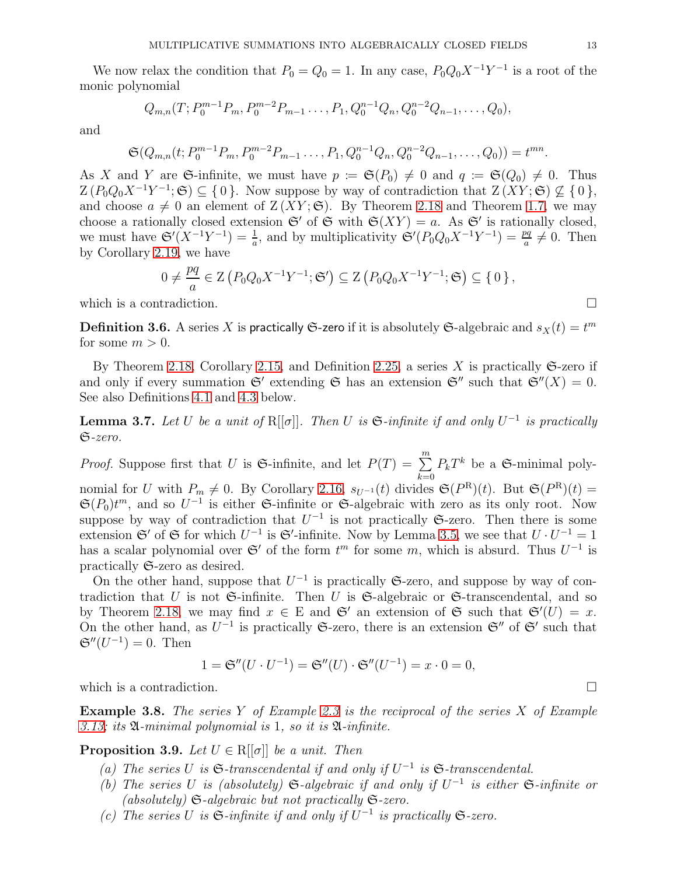We now relax the condition that  $P_0 = Q_0 = 1$ . In any case,  $P_0 Q_0 X^{-1} Y^{-1}$  is a root of the monic polynomial

$$
Q_{m,n}(T; P_0^{m-1}P_m, P_0^{m-2}P_{m-1}\ldots, P_1, Q_0^{n-1}Q_n, Q_0^{n-2}Q_{n-1},\ldots,Q_0),
$$

and

$$
\mathfrak{S}(Q_{m,n}(t; P_0^{m-1}P_m, P_0^{m-2}P_{m-1}\ldots, P_1, Q_0^{n-1}Q_n, Q_0^{n-2}Q_{n-1}, \ldots, Q_0)) = t^{mn}.
$$

As X and Y are G-infinite, we must have  $p := \mathfrak{S}(P_0) \neq 0$  and  $q := \mathfrak{S}(Q_0) \neq 0$ . Thus  $Z(P_0Q_0X^{-1}Y^{-1};\mathfrak{S}) \subseteq \{0\}$ . Now suppose by way of contradiction that  $Z(XY;\mathfrak{S}) \nsubseteq \{0\},$ and choose  $a \neq 0$  an element of  $Z(XY;\mathfrak{S})$ . By Theorem [2.18](#page-6-0) and Theorem [1.7,](#page-2-1) we may choose a rationally closed extension  $\mathfrak{S}'$  of  $\mathfrak{S}$  with  $\mathfrak{S}(XY) = a$ . As  $\mathfrak{S}'$  is rationally closed, we must have  $\mathfrak{S}'(X^{-1}Y^{-1}) = \frac{1}{a}$ , and by multiplicativity  $\mathfrak{S}'(P_0Q_0X^{-1}Y^{-1}) = \frac{pq}{a} \neq 0$ . Then by Corollary [2.19,](#page-7-5) we have

$$
0 \neq \frac{pq}{a} \in Z\left(P_0Q_0X^{-1}Y^{-1}; \mathfrak{S}'\right) \subseteq Z\left(P_0Q_0X^{-1}Y^{-1}; \mathfrak{S}\right) \subseteq \{0\},\
$$

which is a contradiction.  $\Box$ 

<span id="page-12-5"></span>**Definition 3.6.** A series X is practically G-zero if it is absolutely G-algebraic and  $s_X(t) = t^m$ for some  $m > 0$ .

By Theorem [2.18,](#page-6-0) Corollary [2.15,](#page-6-3) and Definition [2.25,](#page-8-0) a series X is practically  $\mathfrak{S}\text{-}$  zero if and only if every summation  $\mathfrak{S}'$  extending  $\mathfrak{S}$  has an extension  $\mathfrak{S}''$  such that  $\mathfrak{S}''(X) = 0$ . See also Definitions [4.1](#page-14-1) and [4.3](#page-15-1) below.

<span id="page-12-1"></span>**Lemma 3.7.** Let U be a unit of R[[ $\sigma$ ]]. Then U is  $\mathfrak{S}\text{-infinite}$  if and only  $U^{-1}$  is practically S-zero.

*Proof.* Suppose first that U is  $\mathfrak{S}\text{-infinite}$ , and let  $P(T) = \sum_{n=1}^{m}$  $_{k=0}$  $P_kT^k$  be a  $\mathfrak{S}\text{-minimal poly-}$ nomial for U with  $P_m \neq 0$ . By Corollary [2.16,](#page-6-2)  $s_{U^{-1}}(t)$  divides  $\mathfrak{S}(P^R)(t)$ . But  $\mathfrak{S}(P^R)(t)$  $\mathfrak{S}(P_0)t^m$ , and so  $U^{-1}$  is either G-infinite or G-algebraic with zero as its only root. Now suppose by way of contradiction that  $U^{-1}$  is not practically G-zero. Then there is some extension  $\mathfrak{S}'$  of  $\mathfrak{S}$  for which  $U^{-1}$  is  $\mathfrak{S}'$ -infinite. Now by Lemma [3.5,](#page-11-1) we see that  $U \cdot U^{-1} = 1$ has a scalar polynomial over  $\mathfrak{S}'$  of the form  $t^m$  for some m, which is absurd. Thus  $U^{-1}$  is practically S-zero as desired.

On the other hand, suppose that  $U^{-1}$  is practically G-zero, and suppose by way of contradiction that U is not  $\mathfrak{S}\text{-infinite}$ . Then U is  $\mathfrak{S}\text{-algebraic}$  or  $\mathfrak{S}\text{-transcendental}$ , and so by Theorem [2.18,](#page-6-0) we may find  $x \in E$  and  $\mathfrak{S}'$  an extension of  $\mathfrak{S}$  such that  $\mathfrak{S}'(U) = x$ . On the other hand, as  $U^{-1}$  is practically G-zero, there is an extension  $\mathfrak{S}''$  of  $\mathfrak{S}'$  such that  $\mathfrak{S}''(U^{-1})=0$ . Then

$$
1 = \mathfrak{S}''(U \cdot U^{-1}) = \mathfrak{S}''(U) \cdot \mathfrak{S}''(U^{-1}) = x \cdot 0 = 0,
$$

which is a contradiction.  $\Box$ 

**Example 3.8.** The series Y of Example [2.3](#page-3-3) is the reciprocal of the series X of Example [3.13;](#page-14-2) its A-minimal polynomial is 1, so it is A-infinite.

<span id="page-12-4"></span><span id="page-12-3"></span><span id="page-12-2"></span>**Proposition 3.9.** Let  $U \in R[[\sigma]]$  be a unit. Then

- (a) The series U is  $\mathfrak{S}\text{-}transcendental$  if and only if  $U^{-1}$  is  $\mathfrak{S}\text{-}transcendental$ .
- (b) The series U is (absolutely)  $\mathfrak{S}\text{-algebraic if and only if } U^{-1}$  is either  $\mathfrak{S}\text{-infinite or}$ (absolutely)  $\mathfrak{S}\text{-}algebraic but not practically \mathfrak{S}\text{-}zero.$
- <span id="page-12-0"></span>(c) The series U is  $\mathfrak{S}\text{-infinite}$  if and only if  $U^{-1}$  is practically  $\mathfrak{S}\text{-}zero$ .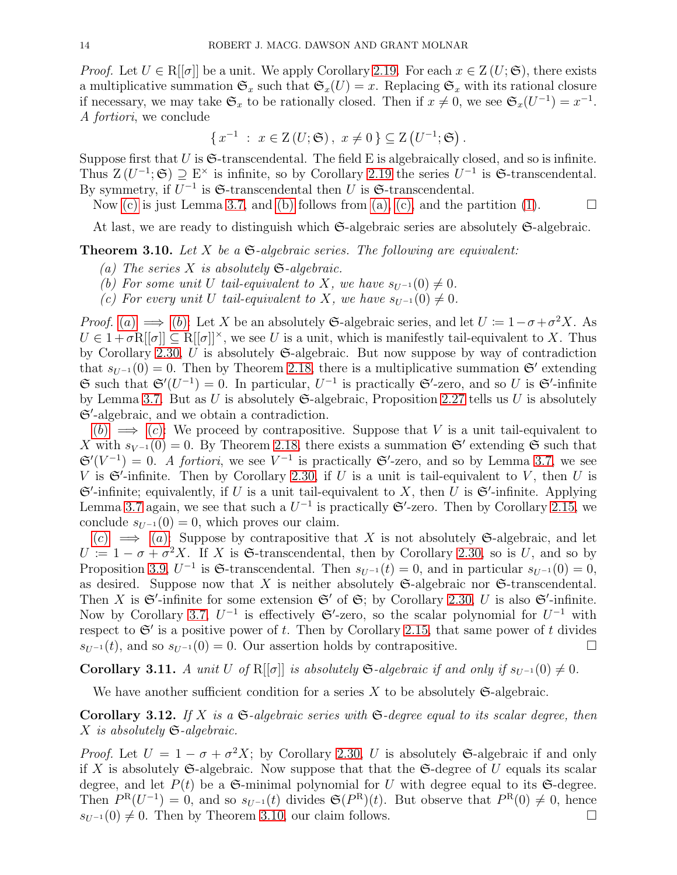*Proof.* Let  $U \in R[[\sigma]]$  be a unit. We apply Corollary [2.19.](#page-7-5) For each  $x \in Z(U; \mathfrak{S})$ , there exists a multiplicative summation  $\mathfrak{S}_x$  such that  $\mathfrak{S}_x(U) = x$ . Replacing  $\mathfrak{S}_x$  with its rational closure if necessary, we may take  $\mathfrak{S}_x$  to be rationally closed. Then if  $x \neq 0$ , we see  $\mathfrak{S}_x(U^{-1}) = x^{-1}$ . A fortiori, we conclude

$$
\{x^{-1} : x \in Z(U; \mathfrak{S}), x \neq 0\} \subseteq Z(U^{-1}; \mathfrak{S}).
$$

Suppose first that  $U$  is  $\mathfrak{S}\text{-transcendental}$ . The field E is algebraically closed, and so is infinite. Thus  $Z(U^{-1}; \mathfrak{S}) \supseteq E^{\times}$  is infinite, so by Corollary [2.19](#page-7-5) the series  $U^{-1}$  is  $\mathfrak{S}\text{-transcendental}$ . By symmetry, if  $U^{-1}$  is G-transcendental then U is G-transcendental.

Now [\(c\)](#page-12-0) is just Lemma [3.7,](#page-12-1) and [\(b\)](#page-12-2) follows from [\(a\),](#page-12-3) [\(c\),](#page-12-0) and the partition [\(1\)](#page-5-3).

At last, we are ready to distinguish which S-algebraic series are absolutely S-algebraic.

<span id="page-13-2"></span><span id="page-13-1"></span><span id="page-13-0"></span>**Theorem 3.10.** Let X be a  $\mathfrak{S}\text{-}algebraic series.$  The following are equivalent:

- (a) The series X is absolutely  $\mathfrak{S}\text{-}algebraic$ .
- <span id="page-13-3"></span>(b) For some unit U tail-equivalent to X, we have  $s_{U^{-1}}(0) \neq 0$ .
- (c) For every unit U tail-equivalent to X, we have  $s_{U^{-1}}(0) \neq 0$ .

*Proof.* ([a](#page-13-1))  $\implies$  (b[\):](#page-13-2) Let X be an absolutely G-algebraic series, and let  $U := 1 - \sigma + \sigma^2 X$ . As  $U \in 1 + \sigma R[[\sigma]] \subseteq R[[\sigma]]^{\times}$ , we see U is a unit, which is manifestly tail-equivalent to X. Thus by Corollary [2.30,](#page-9-2) U is absolutely  $\mathfrak{S}\text{-algebraic}$ . But now suppose by way of contradiction that  $s_{U^{-1}}(0) = 0$ . Then by Theorem [2.18,](#page-6-0) there is a multiplicative summation G' extending  $\mathfrak S$  such that  $\mathfrak S'(U^{-1})=0$ . In particular,  $U^{-1}$  is practically  $\mathfrak S'$ -zero, and so U is  $\mathfrak S'$ -infinite by Lemma [3.7.](#page-12-1) But as U is absolutely  $\mathfrak{S}\text{-algebraic},$  Proposition [2.27](#page-8-1) tells us U is absolutely S′ -algebraic, and we obtain a contradiction.

(b[\)](#page-13-2)  $\implies$  ([c](#page-13-3)): We proceed by contrapositive. Suppose that V is a unit tail-equivalent to X with  $s_{V^{-1}}(0) = 0$ . By Theorem [2.18,](#page-6-0) there exists a summation  $\mathfrak{S}'$  extending  $\mathfrak{S}$  such that  $\mathfrak{S}'(V^{-1}) = 0$ . A fortiori, we see  $V^{-1}$  is practically  $\mathfrak{S}'$ -zero, and so by Lemma [3.7,](#page-12-1) we see V is  $\mathfrak{S}'$ -infinite. Then by Corollary [2.30,](#page-9-2) if U is a unit is tail-equivalent to V, then U is  $G'$ -infinite; equivalently, if U is a unit tail-equivalent to X, then U is  $G'$ -infinite. Applying Lemma [3.7](#page-12-1) again, we see that such a  $U^{-1}$  is practically  $\mathfrak{S}'$ -zero. Then by Corollary [2.15,](#page-6-3) we conclude  $s_{U^{-1}}(0) = 0$ , which proves our claim.

 $(c) \implies (a)$  $(c) \implies (a)$  $(c) \implies (a)$  $(c) \implies (a)$  $(c) \implies (a)$ : Suppose by contrapositive that X is not absolutely G-algebraic, and let  $U := 1 - \sigma + \sigma^2 X$ . If X is G-transcendental, then by Corollary [2.30,](#page-9-2) so is U, and so by Proposition [3.9,](#page-12-4)  $U^{-1}$  is G-transcendental. Then  $s_{U^{-1}}(t) = 0$ , and in particular  $s_{U^{-1}}(0) = 0$ , as desired. Suppose now that X is neither absolutely  $\mathfrak{S}\text{-algebraic}$  nor  $\mathfrak{S}\text{-transcendental}$ . Then X is  $\mathfrak{S}'$ -infinite for some extension  $\mathfrak{S}'$  of  $\mathfrak{S}$ ; by Corollary [2.30,](#page-9-2) U is also  $\mathfrak{S}'$ -infinite. Now by Corollary [3.7,](#page-12-1)  $U^{-1}$  is effectively  $\mathfrak{S}'$ -zero, so the scalar polynomial for  $U^{-1}$  with respect to  $\mathfrak{S}'$  is a positive power of t. Then by Corollary [2.15,](#page-6-3) that same power of t divides  $s_{U^{-1}}(t)$ , and so  $s_{U^{-1}}(0) = 0$ . Our assertion holds by contrapositive.

**Corollary 3.11.** A unit U of R[ $[\sigma]$ ] is absolutely G-algebraic if and only if  $s_{U^{-1}}(0) \neq 0$ .

We have another sufficient condition for a series  $X$  to be absolutely  $\mathfrak{S}\text{-algebraic.}$ 

<span id="page-13-4"></span>**Corollary 3.12.** If X is a  $\mathfrak{S}\text{-}algebraic series with  $\mathfrak{S}\text{-}degree$  equal to its scalar degree, then$ X is absolutely  $\mathfrak{S}\text{-}algebraic$ .

*Proof.* Let  $U = 1 - \sigma + \sigma^2 X$ ; by Corollary [2.30,](#page-9-2) U is absolutely G-algebraic if and only if X is absolutely G-algebraic. Now suppose that that the G-degree of  $U$  equals its scalar degree, and let  $P(t)$  be a G-minimal polynomial for U with degree equal to its G-degree. Then  $P^{R}(U^{-1}) = 0$ , and so  $s_{U^{-1}}(t)$  divides  $\mathfrak{S}(P^{R})(t)$ . But observe that  $P^{R}(0) \neq 0$ , hence  $s_{U^{-1}}(0) \neq 0$ . Then by Theorem [3.10,](#page-13-0) our claim follows.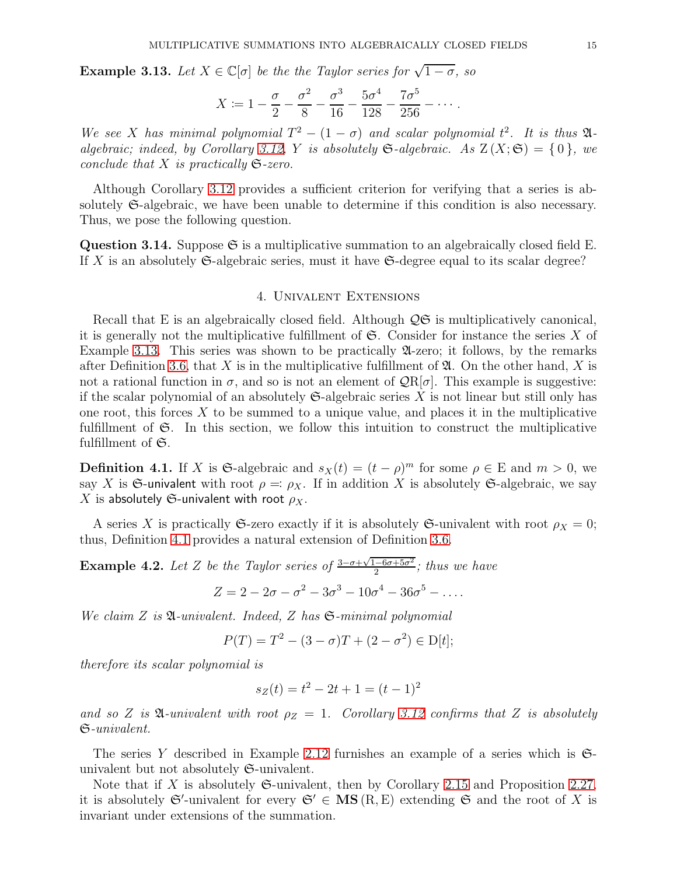<span id="page-14-2"></span>**Example 3.13.** Let  $X \in \mathbb{C}[\sigma]$  be the the Taylor series for  $\sqrt{1-\sigma}$ , so

$$
X \coloneqq 1 - \frac{\sigma}{2} - \frac{\sigma^2}{8} - \frac{\sigma^3}{16} - \frac{5\sigma^4}{128} - \frac{7\sigma^5}{256} - \cdots.
$$

We see X has minimal polynomial  $T^2 - (1 - \sigma)$  and scalar polynomial  $t^2$ . It is thus  $\mathfrak{A}$ -algebraic; indeed, by Corollary [3.12,](#page-13-4) Y is absolutely  $\mathfrak{S}\text{-algebraic.}$  As  $Z(X;\mathfrak{S}) = \{0\}$ , we conclude that X is practically  $\mathfrak{S}\text{-}zero.$ 

Although Corollary [3.12](#page-13-4) provides a sufficient criterion for verifying that a series is absolutely S-algebraic, we have been unable to determine if this condition is also necessary. Thus, we pose the following question.

<span id="page-14-0"></span>Question 3.14. Suppose  $\mathfrak{S}$  is a multiplicative summation to an algebraically closed field E. If X is an absolutely  $\mathfrak{S}\text{-algebraic series}$ , must it have  $\mathfrak{S}\text{-degree}$  equal to its scalar degree?

#### 4. Univalent Extensions

Recall that E is an algebraically closed field. Although  $\mathcal{Q}$  is multiplicatively canonical, it is generally not the multiplicative fulfillment of  $\mathfrak{S}$ . Consider for instance the series X of Example [3.13.](#page-14-2) This series was shown to be practically  $\mathfrak{A}$ -zero; it follows, by the remarks after Definition [3.6,](#page-12-5) that X is in the multiplicative fulfillment of  $\mathfrak{A}$ . On the other hand, X is not a rational function in  $\sigma$ , and so is not an element of  $\mathcal{Q}R[\sigma]$ . This example is suggestive: if the scalar polynomial of an absolutely  $\mathfrak{S}\text{-algebraic series }X$  is not linear but still only has one root, this forces  $X$  to be summed to a unique value, and places it in the multiplicative fulfillment of  $\mathfrak{S}$ . In this section, we follow this intuition to construct the multiplicative fulfillment of  $\mathfrak{S}$ .

<span id="page-14-1"></span>**Definition 4.1.** If X is G-algebraic and  $s_X(t) = (t - \rho)^m$  for some  $\rho \in \mathbb{E}$  and  $m > 0$ , we say X is G-univalent with root  $\rho =: \rho_X$ . If in addition X is absolutely G-algebraic, we say X is absolutely G-univalent with root  $\rho_X$ .

A series X is practically G-zero exactly if it is absolutely G-univalent with root  $\rho_X = 0$ ; thus, Definition [4.1](#page-14-1) provides a natural extension of Definition [3.6.](#page-12-5)

**Example 4.2.** Let Z be the Taylor series of  $\frac{3-\sigma+\sqrt{1-6\sigma+5\sigma^2}}{2}$ ; thus we have  $Z = 2 - 2\sigma - \sigma^2 - 3\sigma^3 - 10\sigma^4 - 36\sigma^5 - \dots$ 

We claim  $Z$  is  $\mathfrak A$ -univalent. Indeed,  $Z$  has  $\mathfrak S$ -minimal polynomial

$$
P(T) = T^{2} - (3 - \sigma)T + (2 - \sigma^{2}) \in D[t];
$$

therefore its scalar polynomial is

$$
s_Z(t) = t^2 - 2t + 1 = (t - 1)^2
$$

and so Z is  $\mathfrak{A}$ -univalent with root  $\rho_Z = 1$ . Corollary [3.12](#page-13-4) confirms that Z is absolutely S-univalent.

The series Y described in Example [2.12](#page-5-0) furnishes an example of a series which is  $\mathfrak{S}$ univalent but not absolutely S-univalent.

Note that if X is absolutely  $\mathfrak{S}\text{-univalent}$ , then by Corollary [2.15](#page-6-3) and Proposition [2.27,](#page-8-1) it is absolutely  $\mathfrak{S}'$ -univalent for every  $\mathfrak{S}' \in \mathbf{MS}(R, E)$  extending  $\mathfrak{S}$  and the root of X is invariant under extensions of the summation.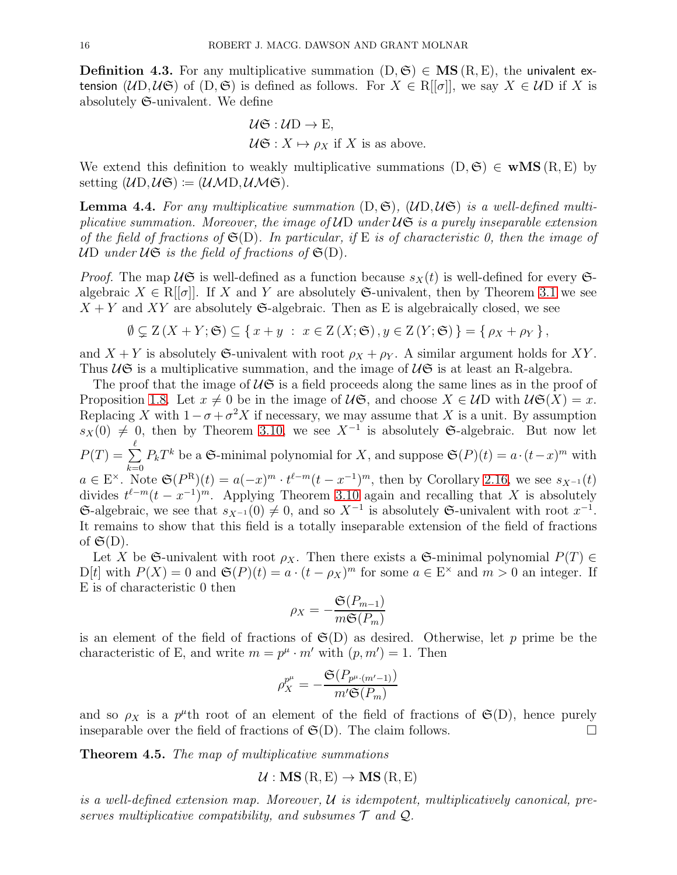<span id="page-15-1"></span>**Definition 4.3.** For any multiplicative summation  $(D, \mathfrak{S}) \in \mathbf{MS}(R, E)$ , the univalent extension (UD, US) of (D, S) is defined as follows. For  $X \in R[[\sigma]]$ , we say  $X \in U$ D if X is absolutely S-univalent. We define

$$
\mathcal{U}\mathfrak{S}: \mathcal{U}\mathfrak{D} \to \mathbb{E},
$$
  

$$
\mathcal{U}\mathfrak{S}: X \mapsto \rho_X \text{ if } X \text{ is as above.}
$$

We extend this definition to weakly multiplicative summations  $(D, \mathfrak{S}) \in \mathbf{wMS}(R, E)$  by setting  $(UD, U\mathfrak{S}) := (UMD, UMG)$ .

<span id="page-15-2"></span>**Lemma 4.4.** For any multiplicative summation  $(D, \mathfrak{S})$ ,  $(\mathcal{UD}, \mathcal{UB})$  is a well-defined multiplicative summation. Moreover, the image of  $U\mathcal{D}$  under  $U\mathfrak{S}$  is a purely inseparable extension of the field of fractions of  $\mathfrak{S}(D)$ . In particular, if E is of characteristic 0, then the image of UD under  $U\mathfrak{S}$  is the field of fractions of  $\mathfrak{S}(D)$ .

*Proof.* The map  $\mathcal{U}\mathfrak{S}$  is well-defined as a function because  $s_X(t)$  is well-defined for every  $\mathfrak{S}$ algebraic  $X \in R[[\sigma]]$ . If X and Y are absolutely G-univalent, then by Theorem [3.1](#page-9-1) we see  $X + Y$  and XY are absolutely G-algebraic. Then as E is algebraically closed, we see

$$
\emptyset \subsetneq Z(X+Y;\mathfrak{S}) \subseteq \{x+y \; : \; x \in Z(X;\mathfrak{S}), y \in Z(Y;\mathfrak{S})\} = \{\rho_X + \rho_Y\},\
$$

and  $X + Y$  is absolutely G-univalent with root  $\rho_X + \rho_Y$ . A similar argument holds for XY. Thus  $\mathcal{U}\mathfrak{S}$  is a multiplicative summation, and the image of  $\mathcal{U}\mathfrak{S}$  is at least an R-algebra.

The proof that the image of  $\mathcal{U}\mathfrak{S}$  is a field proceeds along the same lines as in the proof of Proposition [1.8.](#page-2-2) Let  $x \neq 0$  be in the image of  $\mathcal{U}\mathfrak{S}$ , and choose  $X \in \mathcal{U}$ D with  $\mathcal{U}\mathfrak{S}(X) = x$ . Replacing X with  $1 - \sigma + \sigma^2 X$  if necessary, we may assume that X is a unit. By assumption  $s_X(0) \neq 0$ , then by Theorem [3.10,](#page-13-0) we see  $X^{-1}$  is absolutely G-algebraic. But now let  $P(T) = \sum$  $\ell$  $_{k=0}$  $P_k T^k$  be a G-minimal polynomial for X, and suppose  $\mathfrak{S}(P)(t) = a \cdot (t-x)^m$  with  $a \in E^{\times}$ . Note  $\mathfrak{S}(P^R)(t) = a(-x)^m \cdot t^{\ell-m}(t-x^{-1})^m$ , then by Corollary [2.16,](#page-6-2) we see  $s_{X^{-1}}(t)$ divides  $t^{\ell-m}(t-x^{-1})^m$ . Applying Theorem [3.10](#page-13-0) again and recalling that X is absolutely G-algebraic, we see that  $s_{X^{-1}}(0) \neq 0$ , and so  $X^{-1}$  is absolutely G-univalent with root  $x^{-1}$ . It remains to show that this field is a totally inseparable extension of the field of fractions of  $\mathfrak{S}(D)$ .

Let X be G-univalent with root  $\rho_X$ . Then there exists a G-minimal polynomial  $P(T) \in$  $D[t]$  with  $P(X) = 0$  and  $\mathfrak{S}(P)(t) = a \cdot (t - \rho_X)^m$  for some  $a \in E^\times$  and  $m > 0$  an integer. If E is of characteristic 0 then

$$
\rho_X = -\frac{\mathfrak{S}(P_{m-1})}{m\mathfrak{S}(P_m)}
$$

is an element of the field of fractions of  $\mathfrak{S}(D)$  as desired. Otherwise, let p prime be the characteristic of E, and write  $m = p^{\mu} \cdot m'$  with  $(p, m') = 1$ . Then

$$
\rho_X^{p^{\mu}}=-\frac{\mathfrak{S}(P_{p^{\mu}.(m'-1)})}{m'\mathfrak{S}(P_m)}
$$

and so  $\rho_X$  is a  $p^{\mu}$ th root of an element of the field of fractions of  $\mathfrak{S}(D)$ , hence purely inseparable over the field of fractions of  $\mathfrak{S}(D)$ . The claim follows.

<span id="page-15-0"></span>**Theorem 4.5.** The map of multiplicative summations

 $U : MS(R, E) \rightarrow MS(R, E)$ 

is a well-defined extension map. Moreover,  $U$  is idempotent, multiplicatively canonical, preserves multiplicative compatibility, and subsumes  $\mathcal T$  and  $\mathcal Q$ .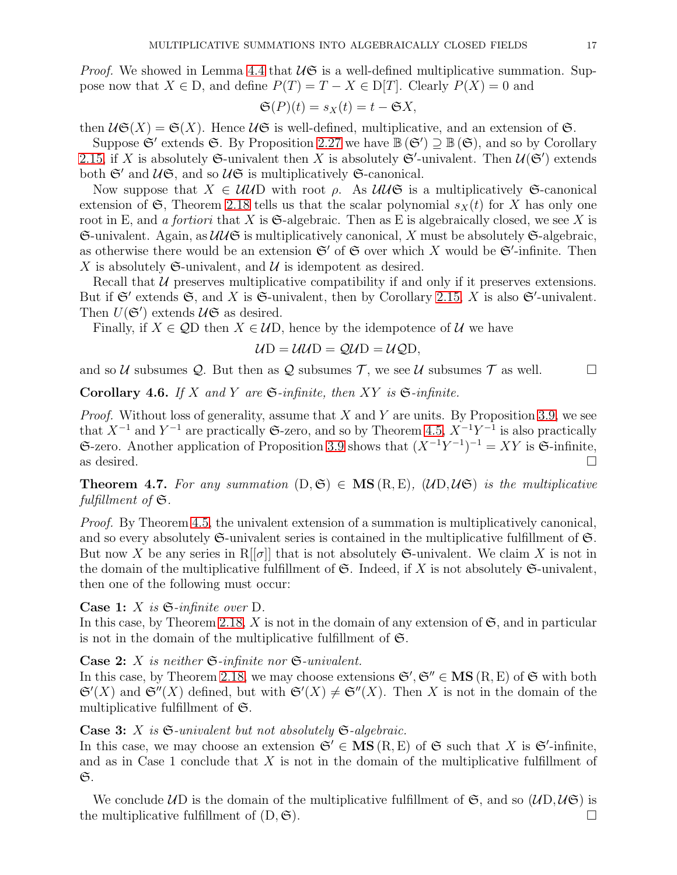*Proof.* We showed in Lemma [4.4](#page-15-2) that  $\mathcal{U} \mathfrak{S}$  is a well-defined multiplicative summation. Suppose now that  $X \in D$ , and define  $P(T) = T - X \in D[T]$ . Clearly  $P(X) = 0$  and

$$
\mathfrak{S}(P)(t) = s_X(t) = t - \mathfrak{S}X,
$$

then  $\mathcal{U}\mathfrak{S}(X) = \mathfrak{S}(X)$ . Hence  $\mathcal{U}\mathfrak{S}$  is well-defined, multiplicative, and an extension of  $\mathfrak{S}$ .

Suppose  $\mathfrak{S}'$  extends  $\mathfrak{S}$ . By Proposition [2.27](#page-8-1) we have  $\mathbb{B}(\mathfrak{S}') \supseteq \mathbb{B}(\mathfrak{S})$ , and so by Corollary [2.15,](#page-6-3) if X is absolutely  $\mathfrak{S}$ -univalent then X is absolutely  $\mathfrak{S}'$ -univalent. Then  $\mathcal{U}(\mathfrak{S}')$  extends both  $\mathfrak{S}'$  and  $\mathcal{U}\mathfrak{S}$ , and so  $\mathcal{U}\mathfrak{S}$  is multiplicatively  $\mathfrak{S}$ -canonical.

Now suppose that  $X \in U \cup U$  with root  $\rho$ . As  $U \cup U$  is a multiplicatively G-canonical extension of  $\mathfrak{S}$ , Theorem [2.18](#page-6-0) tells us that the scalar polynomial  $s_X(t)$  for X has only one root in E, and a fortiori that X is  $\mathfrak S$ -algebraic. Then as E is algebraically closed, we see X is  $\mathfrak{S}\text{-univalent.}$  Again, as  $\mathcal{U}\mathcal{U}\mathfrak{S}$  is multiplicatively canonical, X must be absolutely  $\mathfrak{S}\text{-algebraic}$ , as otherwise there would be an extension  $\mathfrak{S}'$  of  $\mathfrak{S}$  over which X would be  $\mathfrak{S}'$ -infinite. Then X is absolutely  $\mathfrak{S}\text{-univalent}$ , and  $\mathcal U$  is idempotent as desired.

Recall that  $U$  preserves multiplicative compatibility if and only if it preserves extensions. But if  $\mathfrak{S}'$  extends  $\mathfrak{S}$ , and X is  $\mathfrak{S}$ -univalent, then by Corollary [2.15,](#page-6-3) X is also  $\mathfrak{S}'$ -univalent. Then  $U(\mathfrak{S}')$  extends  $\mathcal{U}\mathfrak{S}$  as desired.

Finally, if  $X \in \mathcal{Q}D$  then  $X \in \mathcal{U}D$ , hence by the idempotence of  $\mathcal{U}$  we have

$$
U\mathbf{D} = U\mathcal{U}\mathbf{D} = \mathcal{Q}U\mathbf{D} = U\mathcal{Q}\mathbf{D},
$$

and so U subsumes Q. But then as Q subsumes  $\mathcal T$ , we see U subsumes  $\mathcal T$  as well.

<span id="page-16-1"></span>Corollary 4.6. If X and Y are  $\mathfrak{S}\text{-infinite}$ , then XY is  $\mathfrak{S}\text{-infinite}$ .

*Proof.* Without loss of generality, assume that  $X$  and  $Y$  are units. By Proposition [3.9,](#page-12-4) we see that  $X^{-1}$  and  $Y^{-1}$  are practically G-zero, and so by Theorem [4.5,](#page-15-0)  $X^{-1}Y^{-1}$  is also practically G-zero. Another application of Proposition [3.9](#page-12-4) shows that  $(X^{-1}Y^{-1})^{-1} = XY$  is G-infinite, as desired.  $\Box$ 

<span id="page-16-0"></span>**Theorem 4.7.** For any summation  $(D, \mathfrak{S}) \in MS(R, E)$ ,  $(\mathcal{UD}, \mathcal{U}\mathfrak{S})$  is the multiplicative fulfillment of  $\mathfrak{S}.$ 

Proof. By Theorem [4.5,](#page-15-0) the univalent extension of a summation is multiplicatively canonical, and so every absolutely S-univalent series is contained in the multiplicative fulfillment of S. But now X be any series in R[[ $\sigma$ ] that is not absolutely G-univalent. We claim X is not in the domain of the multiplicative fulfillment of  $\mathfrak{S}$ . Indeed, if X is not absolutely  $\mathfrak{S}\text{-univalent}$ , then one of the following must occur:

**Case 1:**  $X$  is  $\mathfrak{S}\text{-infinite over D}$ .

In this case, by Theorem [2.18,](#page-6-0) X is not in the domain of any extension of  $\mathfrak{S}$ , and in particular is not in the domain of the multiplicative fulfillment of  $\mathfrak{S}$ .

### **Case 2:**  $X$  is neither  $\mathfrak{S}\text{-infinite}$  nor  $\mathfrak{S}\text{-univalent}$ .

In this case, by Theorem [2.18,](#page-6-0) we may choose extensions  $\mathfrak{S}', \mathfrak{S}'' \in MS(R, E)$  of  $\mathfrak{S}$  with both  $\mathfrak{S}'(X)$  and  $\mathfrak{S}''(X)$  defined, but with  $\mathfrak{S}'(X) \neq \mathfrak{S}''(X)$ . Then X is not in the domain of the multiplicative fulfillment of S.

# **Case 3:** X is  $\mathfrak{S}\text{-univalent}$  but not absolutely  $\mathfrak{S}\text{-algebraic.}$

In this case, we may choose an extension  $\mathfrak{S}' \in \mathbf{MS}(R, E)$  of  $\mathfrak{S}$  such that X is  $\mathfrak{S}'$ -infinite, and as in Case 1 conclude that  $X$  is not in the domain of the multiplicative fulfillment of  $\mathfrak{S}.$ 

We conclude  $U\!D$  is the domain of the multiplicative fulfillment of  $\mathfrak{S}$ , and so  $(U\!D, U\!S)$  is e multiplicative fulfillment of  $(D, \mathfrak{S})$ . the multiplicative fulfillment of  $(D, \mathfrak{S})$ .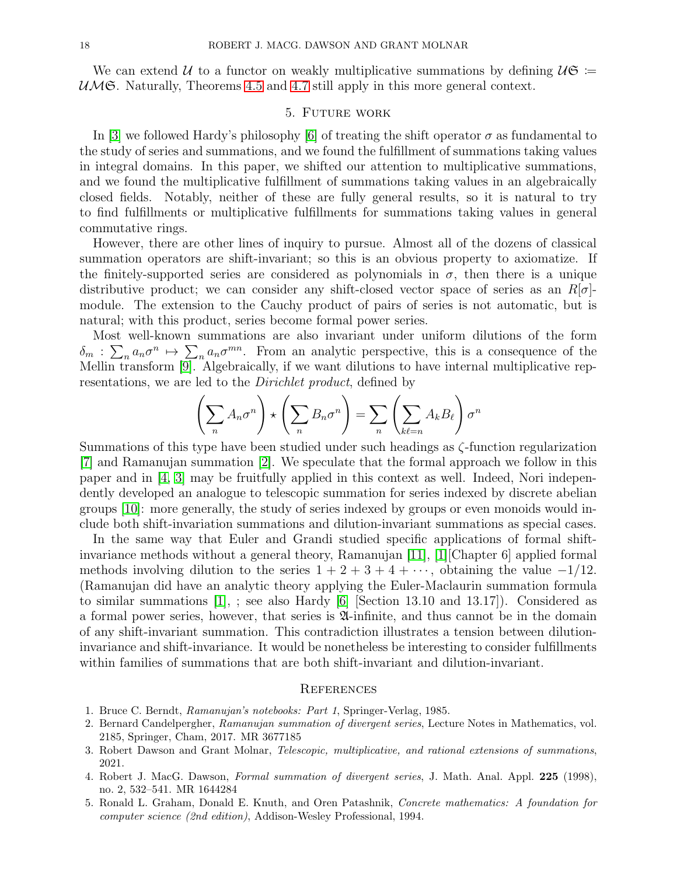<span id="page-17-1"></span>We can extend U to a functor on weakly multiplicative summations by defining  $\mathcal{U}\mathfrak{S} :=$  $U\mathcal{M}\mathfrak{S}$ . Naturally, Theorems [4.5](#page-15-0) and [4.7](#page-16-0) still apply in this more general context.

### 5. Future work

In [\[3\]](#page-17-0) we followed Hardy's philosophy [\[6\]](#page-18-1) of treating the shift operator  $\sigma$  as fundamental to the study of series and summations, and we found the fulfillment of summations taking values in integral domains. In this paper, we shifted our attention to multiplicative summations, and we found the multiplicative fulfillment of summations taking values in an algebraically closed fields. Notably, neither of these are fully general results, so it is natural to try to find fulfillments or multiplicative fulfillments for summations taking values in general commutative rings.

However, there are other lines of inquiry to pursue. Almost all of the dozens of classical summation operators are shift-invariant; so this is an obvious property to axiomatize. If the finitely-supported series are considered as polynomials in  $\sigma$ , then there is a unique distributive product; we can consider any shift-closed vector space of series as an  $R[\sigma]$ module. The extension to the Cauchy product of pairs of series is not automatic, but is natural; with this product, series become formal power series.

Most well-known summations are also invariant under uniform dilutions of the form  $\delta_m$ :  $\sum_n a_n \sigma^n \mapsto \sum_n a_n \sigma^{mn}$ . From an analytic perspective, this is a consequence of the Mellin transform [\[9\]](#page-18-2). Algebraically, if we want dilutions to have internal multiplicative representations, we are led to the *Dirichlet product*, defined by

$$
\left(\sum_{n} A_n \sigma^n \right) \star \left(\sum_{n} B_n \sigma^n \right) = \sum_{n} \left(\sum_{k\ell=n} A_k B_\ell \right) \sigma^n
$$

Summations of this type have been studied under such headings as ζ-function regularization [\[7\]](#page-18-3) and Ramanujan summation [\[2\]](#page-17-4). We speculate that the formal approach we follow in this paper and in  $[4, 3]$  $[4, 3]$  may be fruitfully applied in this context as well. Indeed, Nori independently developed an analogue to telescopic summation for series indexed by discrete abelian groups [\[10\]](#page-18-4): more generally, the study of series indexed by groups or even monoids would include both shift-invariation summations and dilution-invariant summations as special cases.

In the same way that Euler and Grandi studied specific applications of formal shiftinvariance methods without a general theory, Ramanujan [\[11\]](#page-18-5), [\[1\]](#page-17-5)[Chapter 6] applied formal methods involving dilution to the series  $1 + 2 + 3 + 4 + \cdots$ , obtaining the value  $-1/12$ . (Ramanujan did have an analytic theory applying the Euler-Maclaurin summation formula to similar summations [\[1\]](#page-17-5), ; see also Hardy [\[6\]](#page-18-1) [Section 13.10 and 13.17]). Considered as a formal power series, however, that series is  $\mathfrak{A}$ -infinite, and thus cannot be in the domain of any shift-invariant summation. This contradiction illustrates a tension between dilutioninvariance and shift-invariance. It would be nonetheless be interesting to consider fulfillments within families of summations that are both shift-invariant and dilution-invariant.

#### **REFERENCES**

- <span id="page-17-5"></span><span id="page-17-4"></span>1. Bruce C. Berndt, Ramanujan's notebooks: Part 1, Springer-Verlag, 1985.
- 2. Bernard Candelpergher, Ramanujan summation of divergent series, Lecture Notes in Mathematics, vol. 2185, Springer, Cham, 2017. MR 3677185
- <span id="page-17-2"></span><span id="page-17-0"></span>3. Robert Dawson and Grant Molnar, Telescopic, multiplicative, and rational extensions of summations, 2021.
- 4. Robert J. MacG. Dawson, Formal summation of divergent series, J. Math. Anal. Appl. 225 (1998), no. 2, 532–541. MR 1644284
- <span id="page-17-3"></span>5. Ronald L. Graham, Donald E. Knuth, and Oren Patashnik, Concrete mathematics: A foundation for computer science (2nd edition), Addison-Wesley Professional, 1994.